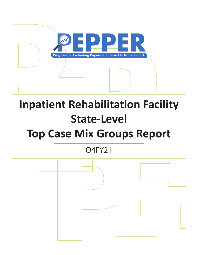

# **Inpatient Rehabilitation Facility State-Level Top Case Mix Groups Report**

Q4FY21

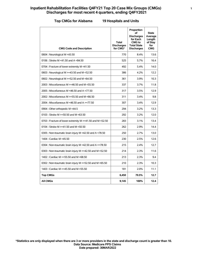# **Inpatient Rehabilitation Facilities Q4FY21 Top 20 Case Mix Groups (CMGs) <sup>1</sup> Discharges for most recent 4 quarters, ending Q4FY2021**

### **Top CMGs for Alabama 19 Hospitals and Units**

| <b>CMG Code and Description</b>                                    | Total<br><b>Discharges</b><br>for CMG* | Proportion<br>οf<br><b>Discharges</b><br>for Each<br><b>CMG</b> to<br><b>Total State</b><br><b>Discharges</b> | <b>State</b><br>Average<br>Length<br>of Stay<br>for<br><b>CMG</b> |
|--------------------------------------------------------------------|----------------------------------------|---------------------------------------------------------------------------------------------------------------|-------------------------------------------------------------------|
| 0604 : Neurological M <43.50                                       | 770                                    | 8.4%                                                                                                          | 13.6                                                              |
| 0106 : Stroke M <41.50 and A <84.50                                | 525                                    | 5.7%                                                                                                          | 16.4                                                              |
| 0704 : Fracture of lower extremity M <41.50                        | 492                                    | 5.4%                                                                                                          | 14.0                                                              |
| 0603 : Neurological M >=43.50 and M <52.50                         | 386                                    | 4.2%                                                                                                          | 12.2                                                              |
| 0602 : Neurological M >=52.50 and M <64.50                         | 361                                    | 3.9%                                                                                                          | 10.3                                                              |
| 2003 : Miscellaneous M >=46.50 and M <55.50                        | 337                                    | 3.7%                                                                                                          | 11.8                                                              |
| 2005: Miscellaneous M <46.50 and A <77.50                          | 317                                    | 3.5%                                                                                                          | 12.9                                                              |
| 2002 : Miscellaneous M >=55.50 and M <66.50                        | 311                                    | 3.4%                                                                                                          | 9.8                                                               |
| 2004 : Miscellaneous M <46.50 and A >=77.50                        | 307                                    | 3.4%                                                                                                          | 12.9                                                              |
| 0904 : Other orthopedic M <44.5                                    | 294                                    | 3.2%                                                                                                          | 13.3                                                              |
| 0103 : Stroke M >=50.50 and M <63.50                               | 292                                    | 3.2%                                                                                                          | 12.0                                                              |
| 0703 : Fracture of lower extremity M >=41.50 and M <52.50          | 283                                    | 3.1%                                                                                                          | 13.4                                                              |
| 0104 : Stroke M >=41.50 and M <50.50                               | 262                                    | 2.9%                                                                                                          | 14.4                                                              |
| 0305 : Non-traumatic brain injury M <42.50 and A <78.50            | 250                                    | 2.7%                                                                                                          | 13.0                                                              |
| 1404 : Cardiac M <45.50                                            | 230                                    | 2.5%                                                                                                          | 12.6                                                              |
| 0304 : Non-traumatic brain injury M <42.50 and A >=78.50           | 215                                    | 2.4%                                                                                                          | 12.7                                                              |
| 0303 : Non-traumatic brain injury M $\ge$ =42.50 and M $\le$ 52.50 | 214                                    | 2.3%                                                                                                          | 11.6                                                              |
| 1402 : Cardiac M >=55.50 and M <68.50                              | 213                                    | 2.3%                                                                                                          | 9.4                                                               |
| 0302 : Non-traumatic brain injury M >=52.50 and M <65.50           | 210                                    | 2.3%                                                                                                          | 10.3                                                              |
| 1403 : Cardiac M >=45.50 and M <55.50                              | 181                                    | 2.0%                                                                                                          | 11.1                                                              |
| <b>Top CMGs</b>                                                    | 6,450                                  | 70.5%                                                                                                         | 12.7                                                              |
| <b>All CMGs</b>                                                    | 9,145                                  | 100%                                                                                                          | 12.4                                                              |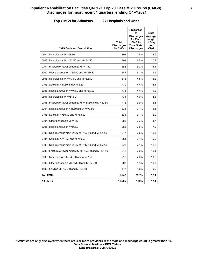# **Inpatient Rehabilitation Facilities Q4FY21 Top 20 Case Mix Groups (CMGs) <sup>2</sup> Discharges for most recent 4 quarters, ending Q4FY2021**

### **Top CMGs for Arkansas 27 Hospitals and Units**

| <b>CMG Code and Description</b>                               | Total<br><b>Discharges</b><br>for CMG* | Proportion<br>οf<br><b>Discharges</b><br>for Each<br><b>CMG</b> to<br><b>Total State</b><br><b>Discharges</b> | <b>State</b><br>Average<br>Length<br>of Stay<br>for<br><b>CMG</b> |
|---------------------------------------------------------------|----------------------------------------|---------------------------------------------------------------------------------------------------------------|-------------------------------------------------------------------|
| 0604 : Neurological M <43.50                                  | 807                                    | 7.5%                                                                                                          | 13.6                                                              |
| 0602 : Neurological M >=52.50 and M <64.50                    | 704                                    | 6.5%                                                                                                          | 10.2                                                              |
| 0704 : Fracture of lower extremity M <41.50                   | 558                                    | 5.2%                                                                                                          | 14.1                                                              |
| 2002 : Miscellaneous M >=55.50 and M <66.50                   | 547                                    | 5.1%                                                                                                          | 9.6                                                               |
| 0603 : Neurological M >=43.50 and M <52.50                    | 515                                    | 4.8%                                                                                                          | 12.2                                                              |
| 0106 : Stroke M <41.50 and A <84.50                           | 479                                    | 4.4%                                                                                                          | 18.1                                                              |
| 2003 : Miscellaneous M >=46.50 and M <55.50                   | 474                                    | 4.4%                                                                                                          | 11.2                                                              |
| 0601 : Neurological M >=64.50                                 | 431                                    | 4.0%                                                                                                          | 8.5                                                               |
| 0703 : Fracture of lower extremity M >=41.50 and M <52.50     | 416                                    | 3.9%                                                                                                          | 12.8                                                              |
| 2004 : Miscellaneous M <46.50 and A >=77.50                   | 331                                    | 3.1%                                                                                                          | 12.6                                                              |
| 0103 : Stroke M $>=$ 50.50 and M < 63.50                      | 331                                    | 3.1%                                                                                                          | 12.0                                                              |
| 0904 : Other orthopedic M <44.5                               | 288                                    | 2.7%                                                                                                          | 13.7                                                              |
| 2001 : Miscellaneous M >=66.50                                | 285                                    | 2.6%                                                                                                          | 7.9                                                               |
| 0302 : Non-traumatic brain injury M $\ge$ =52.50 and M <65.50 | 277                                    | 2.6%                                                                                                          | 10.3                                                              |
| 0104 : Stroke M >=41.50 and M <50.50                          | 261                                    | 2.4%                                                                                                          | 15.5                                                              |
| 0303 : Non-traumatic brain injury M >=42.50 and M <52.50      | 223                                    | 2.1%                                                                                                          | 11.8                                                              |
| 0702 : Fracture of lower extremity M >=52.50 and M <61.50     | 218                                    | 2.0%                                                                                                          | 10.1                                                              |
| 2005 : Miscellaneous M <46.50 and A <77.50                    | 213                                    | 2.0%                                                                                                          | 13.2                                                              |
| 0902 : Other orthopedic M >=51.50 and M <63.50                | 207                                    | 1.9%                                                                                                          | 10.3                                                              |
| 1402 : Cardiac M >=55.50 and M <68.50                         | 177                                    | 1.6%                                                                                                          | 9.5                                                               |
| <b>Top CMGs</b>                                               | 7,742                                  | 71.9%                                                                                                         | 12.1                                                              |
| <b>All CMGs</b>                                               | 10,765                                 | 100%                                                                                                          | 12.1                                                              |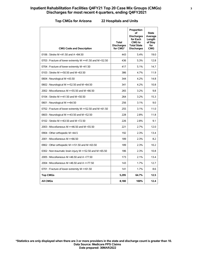# **Inpatient Rehabilitation Facilities Q4FY21 Top 20 Case Mix Groups (CMGs) <sup>3</sup> Discharges for most recent 4 quarters, ending Q4FY2021**

### **Top CMGs for Arizona 22 Hospitals and Units**

| <b>CMG Code and Description</b>                           | <b>Total</b><br><b>Discharges</b><br>for CMG* | Proportion<br>οf<br><b>Discharges</b><br>for Each<br><b>CMG</b> to<br><b>Total State</b><br><b>Discharges</b> | <b>State</b><br>Average<br>Length<br>of Stay<br>for<br><b>CMG</b> |
|-----------------------------------------------------------|-----------------------------------------------|---------------------------------------------------------------------------------------------------------------|-------------------------------------------------------------------|
| 0106 : Stroke M <41.50 and A <84.50                       | 443                                           | 5.4%                                                                                                          | 19.0                                                              |
| 0703 : Fracture of lower extremity M >=41.50 and M <52.50 | 436                                           | 5.3%                                                                                                          | 12.8                                                              |
| 0704 : Fracture of lower extremity M <41.50               | 417                                           | 5.1%                                                                                                          | 14.7                                                              |
| 0103 : Stroke M $>=$ 50.50 and M $\leq$ 63.50             | 386                                           | 4.7%                                                                                                          | 11.9                                                              |
| 0604 : Neurological M <43.50                              | 344                                           | 4.2%                                                                                                          | 14.8                                                              |
| 0602 : Neurological M >=52.50 and M <64.50                | 341                                           | 4.2%                                                                                                          | 10.8                                                              |
| 2002 : Miscellaneous M >=55.50 and M <66.50               | 265                                           | 3.2%                                                                                                          | 9.8                                                               |
| 0104 : Stroke M >=41.50 and M <50.50                      | 264                                           | 3.2%                                                                                                          | 15.3                                                              |
| 0601 : Neurological M >=64.50                             | 256                                           | 3.1%                                                                                                          | 9.0                                                               |
| 0702 : Fracture of lower extremity M >=52.50 and M <61.50 | 255                                           | 3.1%                                                                                                          | 11.0                                                              |
| 0603 : Neurological M >=43.50 and M <52.50                | 228                                           | 2.8%                                                                                                          | 11.8                                                              |
| 0102 : Stroke M >=63.50 and M <72.50                      | 226                                           | 2.8%                                                                                                          | 9.1                                                               |
| 2003 : Miscellaneous M >=46.50 and M <55.50               | 221                                           | 2.7%                                                                                                          | 12.0                                                              |
| 0904 : Other orthopedic M <44.5                           | 192                                           | 2.3%                                                                                                          | 13.4                                                              |
| 2001 : Miscellaneous M >=66.50                            | 189                                           | 2.3%                                                                                                          | 8.2                                                               |
| 0902 : Other orthopedic M >=51.50 and M <63.50            | 189                                           | 2.3%                                                                                                          | 10.2                                                              |
| 0302 : Non-traumatic brain injury M >=52.50 and M <65.50  | 186                                           | 2.3%                                                                                                          | 10.8                                                              |
| 2005: Miscellaneous M <46.50 and A <77.50                 | 173                                           | 2.1%                                                                                                          | 13.4                                                              |
| 2004 : Miscellaneous M <46.50 and A >=77.50               | 143                                           | 1.7%                                                                                                          | 12.7                                                              |
| 0701 : Fracture of lower extremity M >=61.50              | 141                                           | 1.7%                                                                                                          | 8.6                                                               |
| <b>Top CMGs</b>                                           | 5,295                                         | 64.7%                                                                                                         | 12.5                                                              |
| <b>All CMGs</b>                                           | 8,180                                         | 100%                                                                                                          | 12.4                                                              |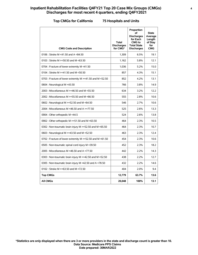# **Inpatient Rehabilitation Facilities Q4FY21 Top 20 Case Mix Groups (CMGs) <sup>4</sup> Discharges for most recent 4 quarters, ending Q4FY2021**

### **Top CMGs for California 75 Hospitals and Units**

| <b>CMG Code and Description</b>                                | Total<br><b>Discharges</b><br>for CMG* | Proportion<br>οf<br><b>Discharges</b><br>for Each<br>CMG to<br><b>Total State</b><br><b>Discharges</b> | <b>State</b><br>Average<br>Length<br>of Stay<br>for<br><b>CMG</b> |
|----------------------------------------------------------------|----------------------------------------|--------------------------------------------------------------------------------------------------------|-------------------------------------------------------------------|
| 0106 : Stroke M <41.50 and A <84.50                            | 1,309                                  | 6.5%                                                                                                   | 19.1                                                              |
| 0103 : Stroke M $>=$ 50.50 and M $\leq$ 63.50                  | 1,162                                  | 5.8%                                                                                                   | 12.1                                                              |
| 0704 : Fracture of lower extremity M <41.50                    | 1,036                                  | 5.2%                                                                                                   | 15.0                                                              |
| 0104 : Stroke M $> = 41.50$ and M $< 50.50$                    | 857                                    | 4.3%                                                                                                   | 15.1                                                              |
| 0703 : Fracture of lower extremity M >=41.50 and M <52.50      | 852                                    | 4.2%                                                                                                   | 13.1                                                              |
| 0604 : Neurological M <43.50                                   | 766                                    | 3.8%                                                                                                   | 14.9                                                              |
| 2003 : Miscellaneous M >=46.50 and M <55.50                    | 634                                    | 3.2%                                                                                                   | 12.2                                                              |
| 2002 : Miscellaneous M >=55.50 and M <66.50                    | 555                                    | 2.8%                                                                                                   | 10.6                                                              |
| 0602 : Neurological M >=52.50 and M <64.50                     | 546                                    | 2.7%                                                                                                   | 10.6                                                              |
| 2004 : Miscellaneous M <46.50 and A >=77.50                    | 525                                    | 2.6%                                                                                                   | 13.3                                                              |
| 0904 : Other orthopedic M <44.5                                | 524                                    | 2.6%                                                                                                   | 13.8                                                              |
| 0902 : Other orthopedic M >=51.50 and M <63.50                 | 464                                    | 2.3%                                                                                                   | 10.5                                                              |
| 0302 : Non-traumatic brain injury M >=52.50 and M <65.50       | 464                                    | 2.3%                                                                                                   | 10.7                                                              |
| 0603 : Neurological M >=43.50 and M <52.50                     | 463                                    | 2.3%                                                                                                   | 12.4                                                              |
| 0702 : Fracture of lower extremity M $\ge$ =52.50 and M <61.50 | 454                                    | 2.3%                                                                                                   | 10.6                                                              |
| 0505 : Non-traumatic spinal cord injury M <39.50               | 452                                    | 2.3%                                                                                                   | 18.2                                                              |
| 2005: Miscellaneous M <46.50 and A <77.50                      | 442                                    | 2.2%                                                                                                   | 14.3                                                              |
| 0303 : Non-traumatic brain injury M >=42.50 and M <52.50       | 438                                    | 2.2%                                                                                                   | 12.7                                                              |
| 0305 : Non-traumatic brain injury M <42.50 and A <78.50        | 432                                    | 2.2%                                                                                                   | 14.6                                                              |
| 0102 : Stroke M >=63.50 and M <72.50                           | 404                                    | 2.0%                                                                                                   | 9.4                                                               |
| <b>Top CMGs</b>                                                | 12,779                                 | 63.7%                                                                                                  | 13.6                                                              |
| <b>All CMGs</b>                                                | 20,048                                 | 100%                                                                                                   | 13.1                                                              |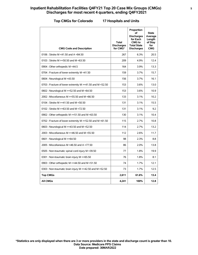# **Inpatient Rehabilitation Facilities Q4FY21 Top 20 Case Mix Groups (CMGs) <sup>5</sup> Discharges for most recent 4 quarters, ending Q4FY2021**

### **Top CMGs for Colorado 17 Hospitals and Units**

| <b>CMG Code and Description</b>                           | <b>Total</b><br><b>Discharges</b><br>for CMG* | Proportion<br>οf<br><b>Discharges</b><br>for Each<br><b>CMG</b> to<br><b>Total State</b><br><b>Discharges</b> | <b>State</b><br>Average<br>Length<br>of Stay<br>for<br><b>CMG</b> |
|-----------------------------------------------------------|-----------------------------------------------|---------------------------------------------------------------------------------------------------------------|-------------------------------------------------------------------|
| 0106 : Stroke M <41.50 and A <84.50                       | 267                                           | 6.3%                                                                                                          | 20.5                                                              |
| 0103 : Stroke M $>=$ 50.50 and M < 63.50                  | 209                                           | 4.9%                                                                                                          | 12.4                                                              |
| 0904 : Other orthopedic M <44.5                           | 164                                           | 3.9%                                                                                                          | 13.3                                                              |
| 0704 : Fracture of lower extremity M <41.50               | 159                                           | 3.7%                                                                                                          | 15.7                                                              |
| 0604 : Neurological M <43.50                              | 156                                           | 3.7%                                                                                                          | 16.1                                                              |
| 0703 : Fracture of lower extremity M >=41.50 and M <52.50 | 153                                           | 3.6%                                                                                                          | 13.0                                                              |
| 0602 : Neurological M >=52.50 and M <64.50                | 153                                           | 3.6%                                                                                                          | 10.9                                                              |
| 2002 : Miscellaneous M >=55.50 and M <66.50               | 133                                           | 3.1%                                                                                                          | 10.2                                                              |
| 0104 : Stroke M >=41.50 and M <50.50                      | 131                                           | 3.1%                                                                                                          | 15.5                                                              |
| 0102 : Stroke M $> = 63.50$ and M $< 72.50$               | 131                                           | 3.1%                                                                                                          | 9.2                                                               |
| 0902 : Other orthopedic M >=51.50 and M <63.50            | 130                                           | 3.1%                                                                                                          | 10.4                                                              |
| 0702 : Fracture of lower extremity M >=52.50 and M <61.50 | 115                                           | 2.7%                                                                                                          | 10.8                                                              |
| 0603 : Neurological M >=43.50 and M <52.50                | 114                                           | 2.7%                                                                                                          | 13.2                                                              |
| 2003 : Miscellaneous M >=46.50 and M <55.50               | 112                                           | 2.6%                                                                                                          | 11.7                                                              |
| 0601 : Neurological M >=64.50                             | 98                                            | 2.3%                                                                                                          | 8.8                                                               |
| 2005 : Miscellaneous M <46.50 and A <77.50                | 86                                            | 2.0%                                                                                                          | 13.8                                                              |
| 0505 : Non-traumatic spinal cord injury M <39.50          | 77                                            | 1.8%                                                                                                          | 19.9                                                              |
| 0301 : Non-traumatic brain injury M >=65.50               | 76                                            | 1.8%                                                                                                          | 8.1                                                               |
| 0903 : Other orthopedic M >=44.50 and M <51.50            | 74                                            | 1.7%                                                                                                          | 12.1                                                              |
| 0303 : Non-traumatic brain injury M >=42.50 and M <52.50  | 73                                            | 1.7%                                                                                                          | 12.5                                                              |
| <b>Top CMGs</b>                                           | 2,611                                         | 61.6%                                                                                                         | 13.4                                                              |
| <b>All CMGs</b>                                           | 4,241                                         | 100%                                                                                                          | 12.8                                                              |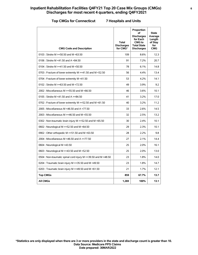# **Inpatient Rehabilitation Facilities Q4FY21 Top 20 Case Mix Groups (CMGs) <sup>6</sup> Discharges for most recent 4 quarters, ending Q4FY2021**

### **Top CMGs for Connecticut 7 Hospitals and Units**

| <b>CMG Code and Description</b>                                | <b>Total</b><br><b>Discharges</b><br>for CMG* | Proportion<br>οf<br><b>Discharges</b><br>for Each<br><b>CMG</b> to<br><b>Total State</b><br><b>Discharges</b> | <b>State</b><br>Average<br>Length<br>of Stay<br>for<br><b>CMG</b> |
|----------------------------------------------------------------|-----------------------------------------------|---------------------------------------------------------------------------------------------------------------|-------------------------------------------------------------------|
| 0103 : Stroke M >=50.50 and M <63.50                           | 109                                           | 8.6%                                                                                                          | 12.3                                                              |
| 0106 : Stroke M <41.50 and A <84.50                            | 91                                            | 7.2%                                                                                                          | 20.7                                                              |
| 0104 : Stroke M >=41.50 and M <50.50                           | 78                                            | 6.1%                                                                                                          | 14.8                                                              |
| 0703 : Fracture of lower extremity M >=41.50 and M <52.50      | 56                                            | 4.4%                                                                                                          | 13.4                                                              |
| 0704 : Fracture of lower extremity M <41.50                    | 53                                            | 4.2%                                                                                                          | 14.1                                                              |
| 0102: Stroke M >=63.50 and M <72.50                            | 49                                            | 3.9%                                                                                                          | 9.2                                                               |
| 2002 : Miscellaneous M >=55.50 and M <66.50                    | 46                                            | 3.6%                                                                                                          | 10.1                                                              |
| 0105 : Stroke M <41.50 and A >=84.50                           | 41                                            | 3.2%                                                                                                          | 17.0                                                              |
| 0702 : Fracture of lower extremity M $\ge$ =52.50 and M <61.50 | 40                                            | 3.2%                                                                                                          | 11.2                                                              |
| 2005 : Miscellaneous M <46.50 and A <77.50                     | 33                                            | 2.6%                                                                                                          | 14.5                                                              |
| 2003 : Miscellaneous M >=46.50 and M <55.50                    | 32                                            | 2.5%                                                                                                          | 13.2                                                              |
| 0302 : Non-traumatic brain injury M >=52.50 and M <65.50       | 30                                            | 2.4%                                                                                                          | 10.1                                                              |
| 0602 : Neurological M >=52.50 and M <64.50                     | 29                                            | 2.3%                                                                                                          | 10.1                                                              |
| 0902 : Other orthopedic M >=51.50 and M <63.50                 | 28                                            | 2.2%                                                                                                          | 9.8                                                               |
| 2004 : Miscellaneous M <46.50 and A >=77.50                    | 27                                            | 2.1%                                                                                                          | 14.4                                                              |
| 0604 : Neurological M <43.50                                   | 25                                            | 2.0%                                                                                                          | 16.1                                                              |
| 0603 : Neurological M >=43.50 and M <52.50                     | 25                                            | 2.0%                                                                                                          | 13.0                                                              |
| 0504 : Non-traumatic spinal cord injury M >=39.50 and M <48.50 | 23                                            | 1.8%                                                                                                          | 14.0                                                              |
| 0204 : Traumatic brain injury M $\ge$ =35.50 and M <49.50      | 23                                            | 1.8%                                                                                                          | 14.7                                                              |
| 0203 : Traumatic brain injury M $\ge$ =49.50 and M <61.50      | 21                                            | 1.7%                                                                                                          | 12.1                                                              |
| <b>Top CMGs</b>                                                | 859                                           | 67.7%                                                                                                         | 13.7                                                              |
| All CMGs                                                       | 1,269                                         | 100%                                                                                                          | 13.1                                                              |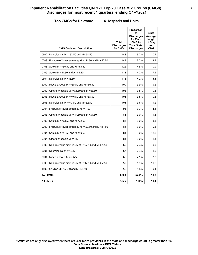# **Inpatient Rehabilitation Facilities Q4FY21 Top 20 Case Mix Groups (CMGs) <sup>7</sup> Discharges for most recent 4 quarters, ending Q4FY2021**

### **Top CMGs for Delaware 4 Hospitals and Units**

| <b>CMG Code and Description</b>                           | <b>Total</b><br><b>Discharges</b><br>for CMG* | Proportion<br>οf<br><b>Discharges</b><br>for Each<br>CMG to<br><b>Total State</b><br><b>Discharges</b> | <b>State</b><br>Average<br>Length<br>of Stay<br>for<br><b>CMG</b> |
|-----------------------------------------------------------|-----------------------------------------------|--------------------------------------------------------------------------------------------------------|-------------------------------------------------------------------|
| 0602 : Neurological M >=52.50 and M <64.50                | 148                                           | 5.2%                                                                                                   | 10.2                                                              |
| 0703 : Fracture of lower extremity M >=41.50 and M <52.50 | 147                                           | 5.2%                                                                                                   | 12.5                                                              |
| 0103 : Stroke M $>=$ 50.50 and M $\leq$ 63.50             | 126                                           | 4.5%                                                                                                   | 10.9                                                              |
| 0106 : Stroke M <41.50 and A <84.50                       | 118                                           | 4.2%                                                                                                   | 17.2                                                              |
| 0604 : Neurological M <43.50                              | 118                                           | 4.2%                                                                                                   | 13.3                                                              |
| 2002 : Miscellaneous M >=55.50 and M <66.50               | 109                                           | 3.9%                                                                                                   | 9.2                                                               |
| 0902 : Other orthopedic M >=51.50 and M <63.50            | 108                                           | 3.8%                                                                                                   | 9.8                                                               |
| 2003 : Miscellaneous M >=46.50 and M <55.50               | 106                                           | 3.8%                                                                                                   | 10.8                                                              |
| 0603 : Neurological M >=43.50 and M <52.50                | 103                                           | 3.6%                                                                                                   | 11.2                                                              |
| 0704 : Fracture of lower extremity M <41.50               | 93                                            | 3.3%                                                                                                   | 14.1                                                              |
| 0903 : Other orthopedic M >=44.50 and M <51.50            | 86                                            | 3.0%                                                                                                   | 11.3                                                              |
| 0102 : Stroke M >=63.50 and M <72.50                      | 86                                            | 3.0%                                                                                                   | 8.8                                                               |
| 0702 : Fracture of lower extremity M >=52.50 and M <61.50 | 86                                            | 3.0%                                                                                                   | 10.3                                                              |
| 0104 : Stroke M >=41.50 and M <50.50                      | 84                                            | 3.0%                                                                                                   | 12.8                                                              |
| 0904 : Other orthopedic M <44.5                           | 84                                            | 3.0%                                                                                                   | 12.4                                                              |
| 0302 : Non-traumatic brain injury M >=52.50 and M <65.50  | 69                                            | 2.4%                                                                                                   | 9.9                                                               |
| 0601 : Neurological M >=64.50                             | 67                                            | 2.4%                                                                                                   | 8.0                                                               |
| 2001 : Miscellaneous M >=66.50                            | 60                                            | 2.1%                                                                                                   | 7.8                                                               |
| 0303 : Non-traumatic brain injury M >=42.50 and M <52.50  | 53                                            | 1.9%                                                                                                   | 11.8                                                              |
| 1402 : Cardiac M >=55.50 and M <68.50                     | 52                                            | 1.8%                                                                                                   | 9.4                                                               |
| <b>Top CMGs</b>                                           | 1,903                                         | 67.4%                                                                                                  | 11.3                                                              |
| <b>All CMGs</b>                                           | 2,825                                         | 100%                                                                                                   | 11.1                                                              |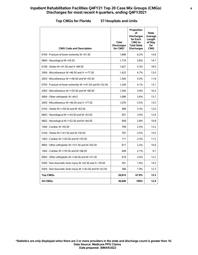# **Inpatient Rehabilitation Facilities Q4FY21 Top 20 Case Mix Groups (CMGs) <sup>8</sup> Discharges for most recent 4 quarters, ending Q4FY2021**

### **Top CMGs for Florida 57 Hospitals and Units**

| <b>CMG Code and Description</b>                           | Total<br><b>Discharges</b><br>for CMG* | Proportion<br>of<br><b>Discharges</b><br>for Each<br><b>CMG</b> to<br><b>Total State</b><br><b>Discharges</b> | <b>State</b><br>Average<br>Length<br>of Stay<br>for<br><b>CMG</b> |
|-----------------------------------------------------------|----------------------------------------|---------------------------------------------------------------------------------------------------------------|-------------------------------------------------------------------|
| 0704 : Fracture of lower extremity M <41.50               | 1,896                                  | 6.2%                                                                                                          | 14.8                                                              |
| 0604 : Neurological M <43.50                              | 1.774                                  | 5.8%                                                                                                          | 14.7                                                              |
| 0106 : Stroke M <41.50 and A <84.50                       | 1,627                                  | 5.3%                                                                                                          | 18.9                                                              |
| 2004 : Miscellaneous M <46.50 and A >=77.50               | 1,425                                  | 4.7%                                                                                                          | 13.0                                                              |
| 2003 : Miscellaneous M >=46.50 and M <55.50               | 1,340                                  | 4.4%                                                                                                          | 11.8                                                              |
| 0703 : Fracture of lower extremity M >=41.50 and M <52.50 | 1,249                                  | 4.1%                                                                                                          | 13.1                                                              |
| 2002 : Miscellaneous M >=55.50 and M <66.50               | 1,204                                  | 3.9%                                                                                                          | 10.4                                                              |
| 0904 : Other orthopedic M <44.5                           | 1,089                                  | 3.6%                                                                                                          | 13.7                                                              |
| 2005: Miscellaneous M <46.50 and A <77.50                 | 1,076                                  | 3.5%                                                                                                          | 13.5                                                              |
| 0103 : Stroke M $>=$ 50.50 and M < 63.50                  | 996                                    | 3.3%                                                                                                          | 12.0                                                              |
| 0603 : Neurological M >=43.50 and M <52.50                | 927                                    | 3.0%                                                                                                          | 12.8                                                              |
| 0602 : Neurological M >=52.50 and M <64.50                | 858                                    | 2.8%                                                                                                          | 10.8                                                              |
| 1404 : Cardiac M <45.50                                   | 769                                    | 2.5%                                                                                                          | 13.2                                                              |
| 0104 : Stroke M $>=$ 41.50 and M $<$ 50.50                | 767                                    | 2.5%                                                                                                          | 15.0                                                              |
| 1403 : Cardiac M >=45.50 and M <55.50                     | 711                                    | 2.3%                                                                                                          | 11.5                                                              |
| 0902 : Other orthopedic M >=51.50 and M <63.50            | 671                                    | 2.2%                                                                                                          | 10.6                                                              |
| 1402 : Cardiac M >=55.50 and M <68.50                     | 648                                    | 2.1%                                                                                                          | 9.7                                                               |
| 0903 : Other orthopedic M >=44.50 and M <51.50            | 610                                    | 2.0%                                                                                                          | 12.2                                                              |
| 0305 : Non-traumatic brain injury M <42.50 and A <78.50   | 591                                    | 1.9%                                                                                                          | 14.5                                                              |
| 0303 : Non-traumatic brain injury M >=42.50 and M <52.50  | 586                                    | 1.9%                                                                                                          | 12.3                                                              |
| <b>Top CMGs</b>                                           | 20,814                                 | 67.9%                                                                                                         | 13.3                                                              |
| <b>All CMGs</b>                                           | 30,640                                 | 100%                                                                                                          | 12.9                                                              |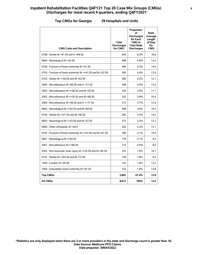# **Inpatient Rehabilitation Facilities Q4FY21 Top 20 Case Mix Groups (CMGs) <sup>9</sup> Discharges for most recent 4 quarters, ending Q4FY2021**

### **Top CMGs for Georgia 29 Hospitals and Units**

| <b>CMG Code and Description</b>                           | <b>Total</b><br><b>Discharges</b><br>for CMG* | Proportion<br>οf<br><b>Discharges</b><br>for Each<br><b>CMG</b> to<br><b>Total State</b><br><b>Discharges</b> | <b>State</b><br>Average<br>Length<br>of Stay<br>for<br><b>CMG</b> |
|-----------------------------------------------------------|-----------------------------------------------|---------------------------------------------------------------------------------------------------------------|-------------------------------------------------------------------|
| 0106 : Stroke M <41.50 and A <84.50                       | 544                                           | 6.3%                                                                                                          | 18.0                                                              |
| 0604 : Neurological M <43.50                              | 498                                           | 5.8%                                                                                                          | 13.5                                                              |
| 0704 : Fracture of lower extremity M <41.50               | 460                                           | 5.3%                                                                                                          | 14.6                                                              |
| 0703 : Fracture of lower extremity M >=41.50 and M <52.50 | 383                                           | 4.4%                                                                                                          | 12.9                                                              |
| 0103 : Stroke M $>=$ 50.50 and M $\leq$ 63.50             | 360                                           | 4.2%                                                                                                          | 12.1                                                              |
| 2005: Miscellaneous M <46.50 and A <77.50                 | 348                                           | 4.0%                                                                                                          | 13.4                                                              |
| 2003 : Miscellaneous M >=46.50 and M <55.50               | 339                                           | 3.9%                                                                                                          | 11.7                                                              |
| 2002 : Miscellaneous M >=55.50 and M <66.50               | 325                                           | 3.8%                                                                                                          | 10.4                                                              |
| 2004 : Miscellaneous M <46.50 and A >=77.50               | 315                                           | 3.7%                                                                                                          | 12.9                                                              |
| 0602 : Neurological M >=52.50 and M <64.50                | 308                                           | 3.6%                                                                                                          | 10.5                                                              |
| 0104 : Stroke M >=41.50 and M <50.50                      | 285                                           | 3.3%                                                                                                          | 14.5                                                              |
| 0603 : Neurological M >=43.50 and M <52.50                | 272                                           | 3.2%                                                                                                          | 12.2                                                              |
| 0904 : Other orthopedic M <44.5                           | 202                                           | 2.3%                                                                                                          | 13.1                                                              |
| 0702 : Fracture of lower extremity M >=52.50 and M <61.50 | 180                                           | 2.1%                                                                                                          | 10.9                                                              |
| 0601 : Neurological M >=64.50                             | 179                                           | 2.1%                                                                                                          | 8.3                                                               |
| 2001 : Miscellaneous M >=66.50                            | 174                                           | 2.0%                                                                                                          | 8.0                                                               |
| 0302 : Non-traumatic brain injury M >=52.50 and M <65.50  | 167                                           | 1.9%                                                                                                          | 10.7                                                              |
| 0102 : Stroke M $> = 63.50$ and M $< 72.50$               | 159                                           | 1.8%                                                                                                          | 9.4                                                               |
| 1404 : Cardiac M <45.50                                   | 152                                           | 1.8%                                                                                                          | 13.2                                                              |
| 1004 : Amputation lower extremity M <47.50                | 152                                           | 1.8%                                                                                                          | 13.8                                                              |
| <b>Top CMGs</b>                                           | 5,802                                         | 67.4%                                                                                                         | 12.8                                                              |
| <b>All CMGs</b>                                           | 8,612                                         | 100%                                                                                                          | 12.6                                                              |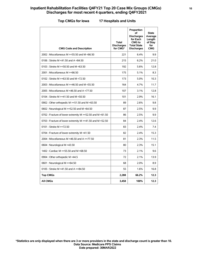# **Inpatient Rehabilitation Facilities Q4FY21 Top 20 Case Mix Groups (CMGs) <sup>10</sup> Discharges for most recent 4 quarters, ending Q4FY2021**

### **Top CMGs for Iowa 17 Hospitals and Units**

| <b>CMG Code and Description</b>                           | <b>Total</b><br><b>Discharges</b><br>for CMG* | Proportion<br>οf<br><b>Discharges</b><br>for Each<br>CMG to<br><b>Total State</b><br><b>Discharges</b> | <b>State</b><br>Average<br>Length<br>of Stay<br>for<br><b>CMG</b> |
|-----------------------------------------------------------|-----------------------------------------------|--------------------------------------------------------------------------------------------------------|-------------------------------------------------------------------|
| 2002 : Miscellaneous M >=55.50 and M <66.50               | 221                                           | 6.4%                                                                                                   | 9.9                                                               |
| 0106 : Stroke M <41.50 and A <84.50                       | 215                                           | 6.2%                                                                                                   | 21.0                                                              |
| 0103 : Stroke M $>=$ 50.50 and M $\leq$ 63.50             | 192                                           | 5.6%                                                                                                   | 12.8                                                              |
| 2001 : Miscellaneous M >=66.50                            | 175                                           | 5.1%                                                                                                   | 8.3                                                               |
| 0102 : Stroke M >=63.50 and M <72.50                      | 173                                           | 5.0%                                                                                                   | 10.3                                                              |
| 2003 : Miscellaneous M >=46.50 and M <55.50               | 164                                           | 4.7%                                                                                                   | 11.7                                                              |
| 2005: Miscellaneous M <46.50 and A <77.50                 | 107                                           | 3.1%                                                                                                   | 12.8                                                              |
| 0104 : Stroke M >=41.50 and M <50.50                      | 101                                           | 2.9%                                                                                                   | 16.1                                                              |
| 0902 : Other orthopedic M >=51.50 and M <63.50            | 89                                            | 2.6%                                                                                                   | 9.8                                                               |
| 0602 : Neurological M >=52.50 and M <64.50                | 87                                            | 2.5%                                                                                                   | 9.9                                                               |
| 0702 : Fracture of lower extremity M >=52.50 and M <61.50 | 86                                            | 2.5%                                                                                                   | 9.9                                                               |
| 0703 : Fracture of lower extremity M >=41.50 and M <52.50 | 84                                            | 2.4%                                                                                                   | 12.6                                                              |
| 0101 : Stroke M >=72.50                                   | 83                                            | 2.4%                                                                                                   | 7.4                                                               |
| 0704 : Fracture of lower extremity M <41.50               | 82                                            | 2.4%                                                                                                   | 15.3                                                              |
| 2004 : Miscellaneous M <46.50 and A >=77.50               | 81                                            | 2.3%                                                                                                   | 11.5                                                              |
| 0604 : Neurological M <43.50                              | 80                                            | 2.3%                                                                                                   | 15.1                                                              |
| 1402 : Cardiac M >=55.50 and M <68.50                     | 73                                            | 2.1%                                                                                                   | 9.6                                                               |
| 0904 : Other orthopedic M <44.5                           | 72                                            | 2.1%                                                                                                   | 13.9                                                              |
| 0601 : Neurological M >=64.50                             | 68                                            | 2.0%                                                                                                   | 8.9                                                               |
| 0105 : Stroke M <41.50 and A >=84.50                      | 55                                            | 1.6%                                                                                                   | 16.8                                                              |
| <b>Top CMGs</b>                                           | 2,288                                         | 66.2%                                                                                                  | 12.3                                                              |
| <b>All CMGs</b>                                           | 3,458                                         | 100%                                                                                                   | 12.3                                                              |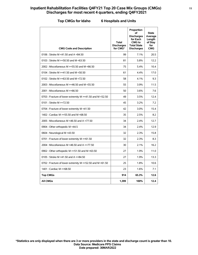# **Inpatient Rehabilitation Facilities Q4FY21 Top 20 Case Mix Groups (CMGs) <sup>11</sup> Discharges for most recent 4 quarters, ending Q4FY2021**

### **Top CMGs for Idaho 6 Hospitals and Units**

| <b>CMG Code and Description</b>                           | Total<br><b>Discharges</b><br>for CMG* | Proportion<br>Ωf<br><b>Discharges</b><br>for Each<br><b>CMG</b> to<br><b>Total State</b><br><b>Discharges</b> | <b>State</b><br>Average<br>Length<br>of Stay<br>for<br><b>CMG</b> |
|-----------------------------------------------------------|----------------------------------------|---------------------------------------------------------------------------------------------------------------|-------------------------------------------------------------------|
| 0106 : Stroke M <41.50 and A <84.50                       | 99                                     | 7.1%                                                                                                          | 20.5                                                              |
| 0103 : Stroke M $>=$ 50.50 and M < 63.50                  | 81                                     | 5.8%                                                                                                          | 12.2                                                              |
| 2002 : Miscellaneous M >=55.50 and M <66.50               | 75                                     | 5.4%                                                                                                          | 10.4                                                              |
| 0104 : Stroke M >=41.50 and M <50.50                      | 61                                     | 4.4%                                                                                                          | 17.0                                                              |
| 0102 : Stroke M >=63.50 and M <72.50                      | 58                                     | 4.1%                                                                                                          | 9.3                                                               |
| 2003 : Miscellaneous M >=46.50 and M <55.50               | 55                                     | 3.9%                                                                                                          | 11.5                                                              |
| 2001 : Miscellaneous M >=66.50                            | 50                                     | 3.6%                                                                                                          | 7.6                                                               |
| 0703 : Fracture of lower extremity M >=41.50 and M <52.50 | 49                                     | 3.5%                                                                                                          | 12.4                                                              |
| 0101 : Stroke M >=72.50                                   | 45                                     | 3.2%                                                                                                          | 7.2                                                               |
| 0704 : Fracture of lower extremity M <41.50               | 42                                     | 3.0%                                                                                                          | 15.4                                                              |
| 1402 : Cardiac M >=55.50 and M <68.50                     | 35                                     | 2.5%                                                                                                          | 8.2                                                               |
| 2005: Miscellaneous M <46.50 and A <77.50                 | 34                                     | 2.4%                                                                                                          | 12.7                                                              |
| 0904 : Other orthopedic M <44.5                           | 34                                     | 2.4%                                                                                                          | 12.9                                                              |
| 0604 : Neurological M <43.50                              | 32                                     | 2.3%                                                                                                          | 15.8                                                              |
| 0701 : Fracture of lower extremity M >=61.50              | 32                                     | 2.3%                                                                                                          | 8.3                                                               |
| 2004 : Miscellaneous M <46.50 and A >=77.50               | 30                                     | 2.1%                                                                                                          | 16.2                                                              |
| 0902 : Other orthopedic M >=51.50 and M <63.50            | 27                                     | 1.9%                                                                                                          | 11.0                                                              |
| 0105 : Stroke M <41.50 and A >=84.50                      | 27                                     | 1.9%                                                                                                          | 13.3                                                              |
| 0702 : Fracture of lower extremity M >=52.50 and M <61.50 | 25                                     | 1.8%                                                                                                          | 10.6                                                              |
| 1401 : Cardiac M >=68.50                                  | 23                                     | 1.6%                                                                                                          | 7.1                                                               |
| <b>Top CMGs</b>                                           | 914                                    | 65.3%                                                                                                         | 12.6                                                              |
| <b>All CMGs</b>                                           | 1,399                                  | 100%                                                                                                          | 12.4                                                              |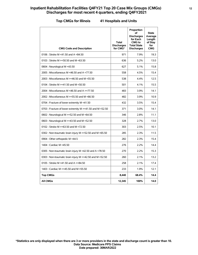# **Inpatient Rehabilitation Facilities Q4FY21 Top 20 Case Mix Groups (CMGs) <sup>12</sup> Discharges for most recent 4 quarters, ending Q4FY2021**

### **Top CMGs for Illinois 41 Hospitals and Units**

| <b>CMG Code and Description</b>                           | Total<br><b>Discharges</b><br>for CMG* | Proportion<br>of<br><b>Discharges</b><br>for Each<br><b>CMG</b> to<br><b>Total State</b><br><b>Discharges</b> | <b>State</b><br>Average<br>Length<br>of Stay<br>for<br><b>CMG</b> |
|-----------------------------------------------------------|----------------------------------------|---------------------------------------------------------------------------------------------------------------|-------------------------------------------------------------------|
| 0106 : Stroke M <41.50 and A <84.50                       | 971                                    | 7.9%                                                                                                          | 19.3                                                              |
| 0103 : Stroke M $>=$ 50.50 and M $\leq$ 63.50             | 636                                    | 5.2%                                                                                                          | 13.0                                                              |
| 0604 : Neurological M <43.50                              | 627                                    | 5.1%                                                                                                          | 15.8                                                              |
| 2005: Miscellaneous M <46.50 and A <77.50                 | 558                                    | 4.5%                                                                                                          | 15.4                                                              |
| 2003 : Miscellaneous M >=46.50 and M <55.50               | 538                                    | 4.4%                                                                                                          | 12.5                                                              |
| 0104 : Stroke M >=41.50 and M <50.50                      | 501                                    | 4.1%                                                                                                          | 15.5                                                              |
| 2004 : Miscellaneous M <46.50 and A >=77.50               | 483                                    | 3.9%                                                                                                          | 14.1                                                              |
| 2002 : Miscellaneous M >=55.50 and M <66.50               | 482                                    | 3.9%                                                                                                          | 10.9                                                              |
| 0704 : Fracture of lower extremity M <41.50               | 432                                    | 3.5%                                                                                                          | 15.4                                                              |
| 0703 : Fracture of lower extremity M >=41.50 and M <52.50 | 371                                    | 3.0%                                                                                                          | 14.1                                                              |
| 0602 : Neurological M >=52.50 and M <64.50                | 346                                    | 2.8%                                                                                                          | 11.1                                                              |
| 0603 : Neurological M >=43.50 and M <52.50                | 328                                    | 2.7%                                                                                                          | 13.0                                                              |
| 0102 : Stroke M $> = 63.50$ and M $< 72.50$               | 303                                    | 2.5%                                                                                                          | 10.1                                                              |
| 0302 : Non-traumatic brain injury M >=52.50 and M <65.50  | 285                                    | 2.3%                                                                                                          | 11.5                                                              |
| 0904 : Other orthopedic M <44.5                           | 282                                    | 2.3%                                                                                                          | 15.4                                                              |
| 1404 : Cardiac M <45.50                                   | 276                                    | 2.2%                                                                                                          | 14.4                                                              |
| 0305 : Non-traumatic brain injury M <42.50 and A <78.50   | 270                                    | 2.2%                                                                                                          | 15.3                                                              |
| 0303 : Non-traumatic brain injury M >=42.50 and M <52.50  | 260                                    | 2.1%                                                                                                          | 13.2                                                              |
| 0105 : Stroke M <41.50 and A >=84.50                      | 258                                    | 2.1%                                                                                                          | 17.4                                                              |
| 1403 : Cardiac M >=45.50 and M <55.50                     | 233                                    | 1.9%                                                                                                          | 12.1                                                              |
| <b>Top CMGs</b>                                           | 8.440                                  | 68.4%                                                                                                         | 14.4                                                              |
| <b>All CMGs</b>                                           | 12,345                                 | 100%                                                                                                          | 14.0                                                              |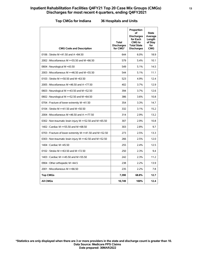# **Inpatient Rehabilitation Facilities Q4FY21 Top 20 Case Mix Groups (CMGs) <sup>13</sup> Discharges for most recent 4 quarters, ending Q4FY2021**

### **Top CMGs for Indiana 36 Hospitals and Units**

| <b>CMG Code and Description</b>                           | Total<br><b>Discharges</b><br>for CMG* | Proportion<br>of<br><b>Discharges</b><br>for Each<br><b>CMG</b> to<br><b>Total State</b><br><b>Discharges</b> | <b>State</b><br>Average<br>Length<br>of Stay<br>for<br><b>CMG</b> |
|-----------------------------------------------------------|----------------------------------------|---------------------------------------------------------------------------------------------------------------|-------------------------------------------------------------------|
| 0106 : Stroke M <41.50 and A <84.50                       | 644                                    | 6.0%                                                                                                          | 18.9                                                              |
| 2002 : Miscellaneous M >=55.50 and M <66.50               | 579                                    | 5.4%                                                                                                          | 10.1                                                              |
| 0604 : Neurological M <43.50                              | 549                                    | 5.1%                                                                                                          | 14.5                                                              |
| 2003 : Miscellaneous M >=46.50 and M <55.50               | 544                                    | 5.1%                                                                                                          | 11.1                                                              |
| 0103 : Stroke M >=50.50 and M <63.50                      | 523                                    | 4.9%                                                                                                          | 12.4                                                              |
| 2005 : Miscellaneous M <46.50 and A <77.50                | 402                                    | 3.7%                                                                                                          | 12.9                                                              |
| 0603 : Neurological M >=43.50 and M <52.50                | 394                                    | 3.7%                                                                                                          | 12.6                                                              |
| 0602 : Neurological M >=52.50 and M <64.50                | 386                                    | 3.6%                                                                                                          | 10.8                                                              |
| 0704 : Fracture of lower extremity M <41.50               | 354                                    | 3.3%                                                                                                          | 14.7                                                              |
| 0104 : Stroke M >=41.50 and M <50.50                      | 332                                    | 3.1%                                                                                                          | 15.2                                                              |
| 2004 : Miscellaneous M <46.50 and A >=77.50               | 314                                    | 2.9%                                                                                                          | 13.2                                                              |
| 0302 : Non-traumatic brain injury M >=52.50 and M <65.50  | 307                                    | 2.9%                                                                                                          | 10.8                                                              |
| 1402 : Cardiac M >=55.50 and M <68.50                     | 303                                    | 2.8%                                                                                                          | 9.7                                                               |
| 0703 : Fracture of lower extremity M >=41.50 and M <52.50 | 273                                    | 2.5%                                                                                                          | 13.3                                                              |
| 0303 : Non-traumatic brain injury M >=42.50 and M <52.50  | 266                                    | 2.5%                                                                                                          | 12.0                                                              |
| 1404 : Cardiac M <45.50                                   | 255                                    | 2.4%                                                                                                          | 12.5                                                              |
| 0102 : Stroke M >=63.50 and M <72.50                      | 250                                    | 2.3%                                                                                                          | 9.4                                                               |
| 1403 : Cardiac M >=45.50 and M <55.50                     | 242                                    | 2.3%                                                                                                          | 11.2                                                              |
| 0904 : Other orthopedic M <44.5                           | 238                                    | 2.2%                                                                                                          | 13.9                                                              |
| 2001 : Miscellaneous M >=66.50                            | 235                                    | 2.2%                                                                                                          | 7.8                                                               |
| <b>Top CMGs</b>                                           | 7,390                                  | 68.8%                                                                                                         | 12.7                                                              |
| <b>All CMGs</b>                                           | 10,749                                 | 100%                                                                                                          | 12.4                                                              |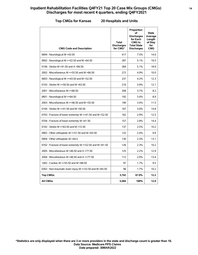# **Inpatient Rehabilitation Facilities Q4FY21 Top 20 Case Mix Groups (CMGs) <sup>14</sup> Discharges for most recent 4 quarters, ending Q4FY2021**

### **Top CMGs for Kansas 20 Hospitals and Units**

| <b>CMG Code and Description</b>                           | <b>Total</b><br><b>Discharges</b><br>for CMG* | Proportion<br>οf<br><b>Discharges</b><br>for Each<br><b>CMG</b> to<br><b>Total State</b><br><b>Discharges</b> | <b>State</b><br>Average<br>Length<br>of Stay<br>for<br><b>CMG</b> |
|-----------------------------------------------------------|-----------------------------------------------|---------------------------------------------------------------------------------------------------------------|-------------------------------------------------------------------|
| 0604 : Neurological M <43.50                              | 417                                           | 7.5%                                                                                                          | 14.0                                                              |
| 0602 : Neurological M >=52.50 and M <64.50                | 287                                           | 5.1%                                                                                                          | 10.5                                                              |
| 0106 : Stroke M <41.50 and A <84.50                       | 284                                           | 5.1%                                                                                                          | 18.9                                                              |
| 2002 : Miscellaneous M >=55.50 and M <66.50               | 272                                           | 4.9%                                                                                                          | 10.0                                                              |
| 0603 : Neurological M >=43.50 and M <52.50                | 237                                           | 4.2%                                                                                                          | 12.3                                                              |
| 0103 : Stroke M $>=$ 50.50 and M $\leq$ 63.50             | 216                                           | 3.9%                                                                                                          | 12.1                                                              |
| 2001 : Miscellaneous M >=66.50                            | 206                                           | 3.7%                                                                                                          | 8.2                                                               |
| 0601 : Neurological M >=64.50                             | 192                                           | 3.4%                                                                                                          | 8.9                                                               |
| 2003 : Miscellaneous M >=46.50 and M <55.50               | 190                                           | 3.4%                                                                                                          | 11.5                                                              |
| 0104 : Stroke M >=41.50 and M <50.50                      | 167                                           | 3.0%                                                                                                          | 14.8                                                              |
| 0703 : Fracture of lower extremity M >=41.50 and M <52.50 | 162                                           | 2.9%                                                                                                          | 12.5                                                              |
| 0704 : Fracture of lower extremity M <41.50               | 157                                           | 2.8%                                                                                                          | 14.4                                                              |
| 0102 : Stroke M $> = 63.50$ and M $< 72.50$               | 137                                           | 2.5%                                                                                                          | 10.2                                                              |
| 0902 : Other orthopedic M >=51.50 and M <63.50            | 132                                           | 2.4%                                                                                                          | 9.9                                                               |
| 0904 : Other orthopedic M <44.5                           | 130                                           | 2.3%                                                                                                          | 13.1                                                              |
| 0702 : Fracture of lower extremity M >=52.50 and M <61.50 | 126                                           | 2.3%                                                                                                          | 10.2                                                              |
| 2005: Miscellaneous M <46.50 and A <77.50                 | 125                                           | 2.2%                                                                                                          | 12.9                                                              |
| 2004 : Miscellaneous M <46.50 and A >=77.50               | 112                                           | 2.0%                                                                                                          | 13.4                                                              |
| 1402 : Cardiac M >=55.50 and M <68.50                     | 97                                            | 1.7%                                                                                                          | 9.5                                                               |
| 0302 : Non-traumatic brain injury M >=52.50 and M <65.50  | 96                                            | 1.7%                                                                                                          | 10.2                                                              |
| <b>Top CMGs</b>                                           | 3,742                                         | 67.0%                                                                                                         | 12.2                                                              |
| <b>All CMGs</b>                                           | 5,584                                         | 100%                                                                                                          | 12.0                                                              |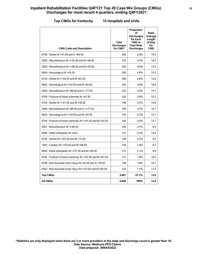# **Inpatient Rehabilitation Facilities Q4FY21 Top 20 Case Mix Groups (CMGs) <sup>15</sup> Discharges for most recent 4 quarters, ending Q4FY2021**

### **Top CMGs for Kentucky 15 Hospitals and Units**

| <b>CMG Code and Description</b>                           | <b>Total</b><br><b>Discharges</b><br>for CMG* | Proportion<br>οf<br><b>Discharges</b><br>for Each<br><b>CMG</b> to<br><b>Total State</b><br><b>Discharges</b> | <b>State</b><br>Average<br>Length<br>of Stay<br>for<br><b>CMG</b> |
|-----------------------------------------------------------|-----------------------------------------------|---------------------------------------------------------------------------------------------------------------|-------------------------------------------------------------------|
| 0106 : Stroke M <41.50 and A <84.50                       | 349                                           | 5.8%                                                                                                          | 19.5                                                              |
| 2002 : Miscellaneous M >=55.50 and M <66.50               | 323                                           | 5.3%                                                                                                          | 10.5                                                              |
| 2003 : Miscellaneous M >=46.50 and M <55.50               | 293                                           | 4.8%                                                                                                          | 12.0                                                              |
| 0604 : Neurological M <43.50                              | 290                                           | 4.8%                                                                                                          | 15.3                                                              |
| 0103 : Stroke M >=50.50 and M <63.50                      | 289                                           | 4.8%                                                                                                          | 12.6                                                              |
| 0602 : Neurological M >=52.50 and M <64.50                | 235                                           | 3.9%                                                                                                          | 10.8                                                              |
| 2005: Miscellaneous M <46.50 and A <77.50                 | 233                                           | 3.9%                                                                                                          | 13.7                                                              |
| 0704 : Fracture of lower extremity M <41.50               | 220                                           | 3.6%                                                                                                          | 15.2                                                              |
| 0104 : Stroke M >=41.50 and M <50.50                      | 199                                           | 3.3%                                                                                                          | 14.6                                                              |
| 2004 : Miscellaneous M <46.50 and A >=77.50               | 195                                           | 3.2%                                                                                                          | 14.1                                                              |
| 0603 : Neurological M >=43.50 and M <52.50                | 193                                           | 3.2%                                                                                                          | 12.7                                                              |
| 0703 : Fracture of lower extremity M >=41.50 and M <52.50 | 183                                           | 3.0%                                                                                                          | 13.1                                                              |
| 2001 : Miscellaneous M >=66.50                            | 165                                           | 2.7%                                                                                                          | 8.4                                                               |
| 0904 : Other orthopedic M <44.5                           | 151                                           | 2.5%                                                                                                          | 14.4                                                              |
| 0102 : Stroke M >=63.50 and M <72.50                      | 148                                           | 2.4%                                                                                                          | 9.5                                                               |
| 1402 : Cardiac M >=55.50 and M <68.50                     | 145                                           | 2.4%                                                                                                          | 9.7                                                               |
| 0902 : Other orthopedic M >=51.50 and M <63.50            | 127                                           | 2.1%                                                                                                          | 9.9                                                               |
| 0702 : Fracture of lower extremity M >=52.50 and M <61.50 | 112                                           | 1.9%                                                                                                          | 10.5                                                              |
| 0305 : Non-traumatic brain injury M <42.50 and A <78.50   | 109                                           | 1.8%                                                                                                          | 14.7                                                              |
| 0302 : Non-traumatic brain injury M >=52.50 and M <65.50  | 102                                           | 1.7%                                                                                                          | 11.5                                                              |
| <b>Top CMGs</b>                                           | 4,061                                         | 67.1%                                                                                                         | 13.0                                                              |
| <b>All CMGs</b>                                           | 6,048                                         | 100%                                                                                                          | 12.8                                                              |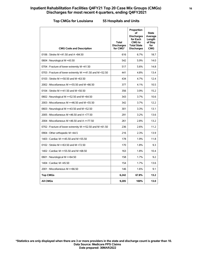# **Inpatient Rehabilitation Facilities Q4FY21 Top 20 Case Mix Groups (CMGs) <sup>16</sup> Discharges for most recent 4 quarters, ending Q4FY2021**

### **Top CMGs for Louisiana 55 Hospitals and Units**

| <b>CMG Code and Description</b>                           | <b>Total</b><br><b>Discharges</b><br>for CMG* | Proportion<br>οf<br><b>Discharges</b><br>for Each<br>CMG to<br><b>Total State</b><br><b>Discharges</b> | <b>State</b><br>Average<br>Length<br>of Stay<br>for<br><b>CMG</b> |
|-----------------------------------------------------------|-----------------------------------------------|--------------------------------------------------------------------------------------------------------|-------------------------------------------------------------------|
| 0106 : Stroke M <41.50 and A <84.50                       | 616                                           | 6.7%                                                                                                   | 18.7                                                              |
| 0604 : Neurological M <43.50                              | 542                                           | 5.9%                                                                                                   | 14.0                                                              |
| 0704 : Fracture of lower extremity M <41.50               | 517                                           | 5.6%                                                                                                   | 14.8                                                              |
| 0703 : Fracture of lower extremity M >=41.50 and M <52.50 | 441                                           | 4.8%                                                                                                   | 13.4                                                              |
| 0103 : Stroke M >=50.50 and M <63.50                      | 434                                           | 4.7%                                                                                                   | 12.4                                                              |
| 2002 : Miscellaneous M >=55.50 and M <66.50               | 377                                           | 4.1%                                                                                                   | 10.5                                                              |
| 0104 : Stroke M >=41.50 and M <50.50                      | 356                                           | 3.9%                                                                                                   | 15.2                                                              |
| 0602 : Neurological M >=52.50 and M <64.50                | 343                                           | 3.7%                                                                                                   | 10.6                                                              |
| 2003 : Miscellaneous M >=46.50 and M <55.50               | 342                                           | 3.7%                                                                                                   | 12.2                                                              |
| 0603 : Neurological M >=43.50 and M <52.50                | 301                                           | 3.3%                                                                                                   | 13.1                                                              |
| 2005: Miscellaneous M <46.50 and A <77.50                 | 291                                           | 3.2%                                                                                                   | 13.6                                                              |
| 2004 : Miscellaneous M <46.50 and A >=77.50               | 261                                           | 2.8%                                                                                                   | 13.2                                                              |
| 0702 : Fracture of lower extremity M >=52.50 and M <61.50 | 236                                           | 2.6%                                                                                                   | 11.2                                                              |
| 0904 : Other orthopedic M <44.5                           | 216                                           | 2.3%                                                                                                   | 13.9                                                              |
| 1403 : Cardiac M >=45.50 and M <55.50                     | 178                                           | 1.9%                                                                                                   | 11.8                                                              |
| 0102 : Stroke M $> = 63.50$ and M $< 72.50$               | 170                                           | 1.8%                                                                                                   | 9.3                                                               |
| 1402 : Cardiac M >=55.50 and M <68.50                     | 163                                           | 1.8%                                                                                                   | 10.4                                                              |
| 0601 : Neurological M >=64.50                             | 158                                           | 1.7%                                                                                                   | 9.2                                                               |
| 1404 : Cardiac M <45.50                                   | 154                                           | 1.7%                                                                                                   | 13.6                                                              |
| 2001 : Miscellaneous M >=66.50                            | 146                                           | 1.6%                                                                                                   | 9.1                                                               |
| <b>Top CMGs</b>                                           | 6,242                                         | 67.8%                                                                                                  | 13.2                                                              |
| <b>All CMGs</b>                                           | 9,205                                         | 100%                                                                                                   | 13.0                                                              |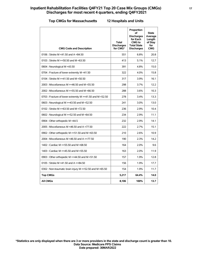### **Inpatient Rehabilitation Facilities Q4FY21 Top 20 Case Mix Groups (CMGs) <sup>17</sup> Discharges for most recent 4 quarters, ending Q4FY2021**

### **Top CMGs for Massachusetts 12 Hospitals and Units**

| <b>CMG Code and Description</b>                           | <b>Total</b><br><b>Discharges</b><br>for CMG* | Proportion<br>οf<br><b>Discharges</b><br>for Each<br><b>CMG</b> to<br><b>Total State</b><br><b>Discharges</b> | <b>State</b><br>Average<br>Length<br>of Stay<br>for<br><b>CMG</b> |
|-----------------------------------------------------------|-----------------------------------------------|---------------------------------------------------------------------------------------------------------------|-------------------------------------------------------------------|
| 0106 : Stroke M <41.50 and A <84.50                       | 551                                           | 6.8%                                                                                                          | 20.8                                                              |
| 0103 : Stroke M $>=$ 50.50 and M $\leq$ 63.50             | 413                                           | 5.1%                                                                                                          | 12.7                                                              |
| 0604 : Neurological M <43.50                              | 391                                           | 4.8%                                                                                                          | 15.0                                                              |
| 0704 : Fracture of lower extremity M <41.50               | 322                                           | 4.0%                                                                                                          | 15.8                                                              |
| 0104 : Stroke M $> = 41.50$ and M $< 50.50$               | 317                                           | 3.9%                                                                                                          | 16.1                                                              |
| 2003 : Miscellaneous M >=46.50 and M <55.50               | 298                                           | 3.7%                                                                                                          | 12.2                                                              |
| 2002 : Miscellaneous M >=55.50 and M <66.50               | 288                                           | 3.6%                                                                                                          | 10.3                                                              |
| 0703 : Fracture of lower extremity M >=41.50 and M <52.50 | 278                                           | 3.4%                                                                                                          | 13.3                                                              |
| 0603 : Neurological M >=43.50 and M <52.50                | 241                                           | 3.0%                                                                                                          | 13.0                                                              |
| 0102 : Stroke M $> = 63.50$ and M $< 72.50$               | 236                                           | 2.9%                                                                                                          | 10.4                                                              |
| 0602 : Neurological M >=52.50 and M <64.50                | 234                                           | 2.9%                                                                                                          | 11.1                                                              |
| 0904 : Other orthopedic M <44.5                           | 232                                           | 2.9%                                                                                                          | 14.1                                                              |
| 2005: Miscellaneous M <46.50 and A <77.50                 | 222                                           | 2.7%                                                                                                          | 15.1                                                              |
| 0902 : Other orthopedic M >=51.50 and M <63.50            | 210                                           | 2.6%                                                                                                          | 10.9                                                              |
| 2004 : Miscellaneous M <46.50 and A >=77.50               | 190                                           | 2.3%                                                                                                          | 14.2                                                              |
| 1402 : Cardiac M >=55.50 and M <68.50                     | 164                                           | 2.0%                                                                                                          | 9.6                                                               |
| 1403 : Cardiac M >=45.50 and M <55.50                     | 163                                           | 2.0%                                                                                                          | 11.9                                                              |
| 0903 : Other orthopedic M >=44.50 and M <51.50            | 157                                           | 1.9%                                                                                                          | 12.8                                                              |
| 0105 : Stroke M <41.50 and A >=84.50                      | 156                                           | 1.9%                                                                                                          | 17.7                                                              |
| 0302 : Non-traumatic brain injury M >=52.50 and M <65.50  | 154                                           | 1.9%                                                                                                          | 11.7                                                              |
| <b>Top CMGs</b>                                           | 5,217                                         | 64.4%                                                                                                         | 14.0                                                              |
| <b>All CMGs</b>                                           | 8,106                                         | 100%                                                                                                          | 13.7                                                              |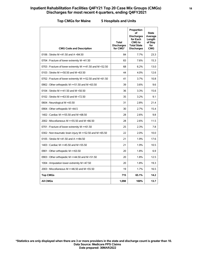# **Inpatient Rehabilitation Facilities Q4FY21 Top 20 Case Mix Groups (CMGs) <sup>18</sup> Discharges for most recent 4 quarters, ending Q4FY2021**

### **Top CMGs for Maine 5 Hospitals and Units**

| <b>CMG Code and Description</b>                           | <b>Total</b><br><b>Discharges</b><br>for CMG* | Proportion<br>οf<br><b>Discharges</b><br>for Each<br><b>CMG</b> to<br><b>Total State</b><br><b>Discharges</b> | <b>State</b><br>Average<br>Length<br>of Stay<br>for<br><b>CMG</b> |
|-----------------------------------------------------------|-----------------------------------------------|---------------------------------------------------------------------------------------------------------------|-------------------------------------------------------------------|
| 0106 : Stroke M <41.50 and A <84.50                       | 84                                            | 7.7%                                                                                                          | 23.3                                                              |
| 0704 : Fracture of lower extremity M <41.50               | 83                                            | 7.6%                                                                                                          | 15.3                                                              |
| 0703 : Fracture of lower extremity M >=41.50 and M <52.50 | 68                                            | 6.2%                                                                                                          | 13.0                                                              |
| 0103 : Stroke M $>=$ 50.50 and M $\leq$ 63.50             | 44                                            | 4.0%                                                                                                          | 12.6                                                              |
| 0702 : Fracture of lower extremity M >=52.50 and M <61.50 | 41                                            | 3.7%                                                                                                          | 10.8                                                              |
| 0902 : Other orthopedic M >=51.50 and M <63.50            | 39                                            | 3.6%                                                                                                          | 9.6                                                               |
| 0104 : Stroke M >=41.50 and M <50.50                      | 36                                            | 3.3%                                                                                                          | 15.6                                                              |
| 0102 : Stroke M $> = 63.50$ and M $< 72.50$               | 35                                            | 3.2%                                                                                                          | 9.1                                                               |
| 0604 : Neurological M <43.50                              | 31                                            | 2.8%                                                                                                          | 21.4                                                              |
| 0904 : Other orthopedic M <44.5                           | 30                                            | 2.7%                                                                                                          | 15.4                                                              |
| 1402 : Cardiac M >=55.50 and M <68.50                     | 28                                            | 2.6%                                                                                                          | 9.8                                                               |
| 2002 : Miscellaneous M >=55.50 and M <66.50               | 28                                            | 2.6%                                                                                                          | 11.5                                                              |
| 0701 : Fracture of lower extremity M >=61.50              | 25                                            | 2.3%                                                                                                          | 7.8                                                               |
| 0302 : Non-traumatic brain injury M >=52.50 and M <65.50  | 22                                            | 2.0%                                                                                                          | 10.0                                                              |
| 0105 : Stroke M <41.50 and A >=84.50                      | 21                                            | 1.9%                                                                                                          | 17.6                                                              |
| 1403 : Cardiac M >=45.50 and M <55.50                     | 21                                            | 1.9%                                                                                                          | 10.5                                                              |
| 0901 : Other orthopedic M >=63.50                         | 20                                            | 1.8%                                                                                                          | 6.9                                                               |
| 0903 : Other orthopedic M >=44.50 and M <51.50            | 20                                            | 1.8%                                                                                                          | 12.5                                                              |
| 1004 : Amputation lower extremity M <47.50                | 20                                            | 1.8%                                                                                                          | 19.3                                                              |
| 2003 : Miscellaneous M >=46.50 and M <55.50               | 19                                            | 1.7%                                                                                                          | 16.5                                                              |
| <b>Top CMGs</b>                                           | 715                                           | 65.1%                                                                                                         | 14.2                                                              |
| <b>All CMGs</b>                                           | 1,098                                         | 100%                                                                                                          | 13.7                                                              |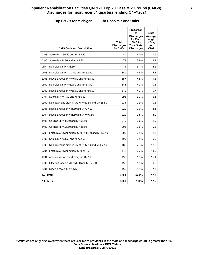# **Inpatient Rehabilitation Facilities Q4FY21 Top 20 Case Mix Groups (CMGs) <sup>19</sup> Discharges for most recent 4 quarters, ending Q4FY2021**

### **Top CMGs for Michigan 38 Hospitals and Units**

| <b>CMG Code and Description</b>                               | Total<br><b>Discharges</b><br>for CMG* | Proportion<br>of<br><b>Discharges</b><br>for Each<br>CMG to<br><b>Total State</b><br><b>Discharges</b> | <b>State</b><br>Average<br>Length<br>of Stay<br>for<br><b>CMG</b> |
|---------------------------------------------------------------|----------------------------------------|--------------------------------------------------------------------------------------------------------|-------------------------------------------------------------------|
| 0103 : Stroke M $>=$ 50.50 and M $\leq$ 63.50                 | 480                                    | 6.0%                                                                                                   | 11.6                                                              |
| 0106 : Stroke M <41.50 and A <84.50                           | 474                                    | 5.9%                                                                                                   | 19.7                                                              |
| 0604 : Neurological M <43.50                                  | 411                                    | 5.1%                                                                                                   | 14.6                                                              |
| 0603 : Neurological M >=43.50 and M <52.50                    | 359                                    | 4.5%                                                                                                   | 12.3                                                              |
| 2003 : Miscellaneous M >=46.50 and M <55.50                   | 357                                    | 4.5%                                                                                                   | 11.5                                                              |
| 0602 : Neurological M >=52.50 and M <64.50                    | 343                                    | 4.3%                                                                                                   | 10.5                                                              |
| 2002 : Miscellaneous M >=55.50 and M <66.50                   | 342                                    | 4.3%                                                                                                   | 9.7                                                               |
| 0104 : Stroke M >=41.50 and M <50.50                          | 295                                    | 3.7%                                                                                                   | 15.8                                                              |
| 0302 : Non-traumatic brain injury M $\ge$ =52.50 and M <65.50 | 231                                    | 2.9%                                                                                                   | 10.5                                                              |
| 2005: Miscellaneous M <46.50 and A <77.50                     | 229                                    | 2.9%                                                                                                   | 13.6                                                              |
| 2004 : Miscellaneous M <46.50 and A >=77.50                   | 222                                    | 2.8%                                                                                                   | 13.0                                                              |
| 1403 : Cardiac M >=45.50 and M <55.50                         | 210                                    | 2.6%                                                                                                   | 11.9                                                              |
| 1402 : Cardiac M >=55.50 and M <68.50                         | 208                                    | 2.6%                                                                                                   | 10.5                                                              |
| 0703 : Fracture of lower extremity M >=41.50 and M <52.50     | 200                                    | 2.5%                                                                                                   | 12.8                                                              |
| 0102 : Stroke M $> = 63.50$ and M $< 72.50$                   | 199                                    | 2.5%                                                                                                   | 10.0                                                              |
| 0303 : Non-traumatic brain injury M >=42.50 and M <52.50      | 186                                    | 2.3%                                                                                                   | 12.8                                                              |
| 0704 : Fracture of lower extremity M <41.50                   | 178                                    | 2.2%                                                                                                   | 13.9                                                              |
| 1004 : Amputation lower extremity M <47.50                    | 153                                    | 1.9%                                                                                                   | 15.1                                                              |
| 0902 : Other orthopedic M >=51.50 and M <63.50                | 153                                    | 1.9%                                                                                                   | 9.6                                                               |
| 2001 : Miscellaneous M >=66.50                                | 150                                    | 1.9%                                                                                                   | 7.8                                                               |
| <b>Top CMGs</b>                                               | 5,380                                  | 67.4%                                                                                                  | 12.7                                                              |
| <b>All CMGs</b>                                               | 7,981                                  | 100%                                                                                                   | 12.6                                                              |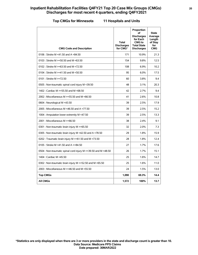# **Inpatient Rehabilitation Facilities Q4FY21 Top 20 Case Mix Groups (CMGs) <sup>20</sup> Discharges for most recent 4 quarters, ending Q4FY2021**

### **Top CMGs for Minnesota 11 Hospitals and Units**

| <b>CMG Code and Description</b>                                | Total<br><b>Discharges</b><br>for CMG* | Proportion<br>of<br><b>Discharges</b><br>for Each<br>CMG to<br><b>Total State</b><br><b>Discharges</b> | <b>State</b><br>Average<br>Length<br>of Stay<br>for<br><b>CMG</b> |
|----------------------------------------------------------------|----------------------------------------|--------------------------------------------------------------------------------------------------------|-------------------------------------------------------------------|
| 0106 : Stroke M <41.50 and A <84.50                            | 171                                    | 10.9%                                                                                                  | 21.3                                                              |
| 0103 : Stroke M >=50.50 and M <63.50                           | 154                                    | 9.8%                                                                                                   | 12.5                                                              |
| 0102 : Stroke M $> = 63.50$ and M $< 72.50$                    | 108                                    | 6.9%                                                                                                   | 10.2                                                              |
| 0104 : Stroke M >=41.50 and M <50.50                           | 95                                     | 6.0%                                                                                                   | 17.5                                                              |
| 0101 : Stroke M >=72.50                                        | 60                                     | 3.8%                                                                                                   | 9.4                                                               |
| 0505 : Non-traumatic spinal cord injury M <39.50               | 48                                     | 3.1%                                                                                                   | 20.3                                                              |
| 1402 : Cardiac M >=55.50 and M <68.50                          | 42                                     | 2.7%                                                                                                   | 9.4                                                               |
| 2002 : Miscellaneous M >=55.50 and M <66.50                    | 41                                     | 2.6%                                                                                                   | 10.8                                                              |
| 0604 : Neurological M <43.50                                   | 39                                     | 2.5%                                                                                                   | 17.9                                                              |
| 2005: Miscellaneous M <46.50 and A <77.50                      | 39                                     | 2.5%                                                                                                   | 15.2                                                              |
| 1004 : Amputation lower extremity M <47.50                     | 39                                     | 2.5%                                                                                                   | 13.3                                                              |
| 2001 : Miscellaneous M >=66.50                                 | 38                                     | 2.4%                                                                                                   | 9.1                                                               |
| 0301 : Non-traumatic brain injury M >=65.50                    | 32                                     | 2.0%                                                                                                   | 7.3                                                               |
| 0305 : Non-traumatic brain injury M <42.50 and A <78.50        | 29                                     | 1.8%                                                                                                   | 15.9                                                              |
| 0202 : Traumatic brain injury M $\ge$ =61.50 and M <73.50      | 28                                     | 1.8%                                                                                                   | 12.4                                                              |
| 0105 : Stroke M <41.50 and A >=84.50                           | 27                                     | 1.7%                                                                                                   | 17.6                                                              |
| 0504 : Non-traumatic spinal cord injury M >=39.50 and M <48.50 | 26                                     | 1.7%                                                                                                   | 15.1                                                              |
| 1404 : Cardiac M <45.50                                        | 25                                     | 1.6%                                                                                                   | 14.7                                                              |
| 0302 : Non-traumatic brain injury M >=52.50 and M <65.50       | 25                                     | 1.6%                                                                                                   | 11.0                                                              |
| 2003 : Miscellaneous M >=46.50 and M <55.50                    | 24                                     | 1.5%                                                                                                   | 13.0                                                              |
| <b>Top CMGs</b>                                                | 1,090                                  | 69.3%                                                                                                  | 14.4                                                              |
| <b>All CMGs</b>                                                | 1,572                                  | 100%                                                                                                   | 13.7                                                              |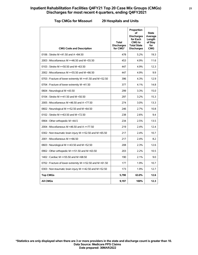# **Inpatient Rehabilitation Facilities Q4FY21 Top 20 Case Mix Groups (CMGs) <sup>21</sup> Discharges for most recent 4 quarters, ending Q4FY2021**

### **Top CMGs for Missouri 29 Hospitals and Units**

| <b>CMG Code and Description</b>                               | Total<br><b>Discharges</b><br>for CMG* | Proportion<br>οf<br><b>Discharges</b><br>for Each<br><b>CMG</b> to<br><b>Total State</b><br><b>Discharges</b> | <b>State</b><br>Average<br>Length<br>of Stay<br>for<br><b>CMG</b> |
|---------------------------------------------------------------|----------------------------------------|---------------------------------------------------------------------------------------------------------------|-------------------------------------------------------------------|
| 0106 : Stroke M <41.50 and A <84.50                           | 478                                    | 5.2%                                                                                                          | 19.3                                                              |
| 2003 : Miscellaneous M >=46.50 and M <55.50                   | 453                                    | 4.9%                                                                                                          | 11.6                                                              |
| 0103 : Stroke M >=50.50 and M <63.50                          | 447                                    | 4.9%                                                                                                          | 12.3                                                              |
| 2002 : Miscellaneous M >=55.50 and M <66.50                   | 447                                    | 4.9%                                                                                                          | 9.9                                                               |
| 0703 : Fracture of lower extremity M >=41.50 and M <52.50     | 396                                    | 4.3%                                                                                                          | 12.9                                                              |
| 0704 : Fracture of lower extremity M <41.50                   | 377                                    | 4.1%                                                                                                          | 14.8                                                              |
| 0604 : Neurological M <43.50                                  | 299                                    | 3.3%                                                                                                          | 15.0                                                              |
| 0104 : Stroke M >=41.50 and M <50.50                          | 297                                    | 3.2%                                                                                                          | 15.3                                                              |
| 2005 : Miscellaneous M <46.50 and A <77.50                    | 274                                    | 3.0%                                                                                                          | 13.3                                                              |
| 0602 : Neurological M >=52.50 and M <64.50                    | 246                                    | 2.7%                                                                                                          | 10.8                                                              |
| 0102 : Stroke M >=63.50 and M <72.50                          | 238                                    | 2.6%                                                                                                          | 9.4                                                               |
| 0904 : Other orthopedic M <44.5                               | 234                                    | 2.5%                                                                                                          | 13.5                                                              |
| 2004 : Miscellaneous M <46.50 and A >=77.50                   | 219                                    | 2.4%                                                                                                          | 12.4                                                              |
| 0302 : Non-traumatic brain injury M $\ge$ =52.50 and M <65.50 | 217                                    | 2.4%                                                                                                          | 10.7                                                              |
| 2001 : Miscellaneous M >=66.50                                | 217                                    | 2.4%                                                                                                          | 8.2                                                               |
| 0603 : Neurological M >=43.50 and M <52.50                    | 208                                    | 2.3%                                                                                                          | 12.6                                                              |
| 0902 : Other orthopedic M >=51.50 and M <63.50                | 203                                    | 2.2%                                                                                                          | 10.5                                                              |
| 1402 : Cardiac M >=55.50 and M <68.50                         | 190                                    | 2.1%                                                                                                          | 9.0                                                               |
| 0702 : Fracture of lower extremity M >=52.50 and M <61.50     | 177                                    | 1.9%                                                                                                          | 10.7                                                              |
| 0303 : Non-traumatic brain injury M >=42.50 and M <52.50      | 173                                    | 1.9%                                                                                                          | 12.7                                                              |
| <b>Top CMGs</b>                                               | 5,790                                  | 63.0%                                                                                                         | 12.6                                                              |
| <b>All CMGs</b>                                               | 9,197                                  | 100%                                                                                                          | 12.3                                                              |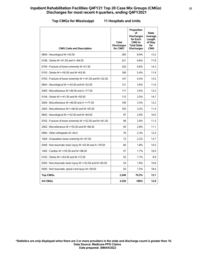# **Inpatient Rehabilitation Facilities Q4FY21 Top 20 Case Mix Groups (CMGs) <sup>22</sup> Discharges for most recent 4 quarters, ending Q4FY2021**

### **Top CMGs for Mississippi 11 Hospitals and Units**

| <b>CMG Code and Description</b>                                | Total<br><b>Discharges</b><br>for CMG* | Proportion<br>οf<br><b>Discharges</b><br>for Each<br><b>CMG</b> to<br><b>Total State</b><br><b>Discharges</b> | <b>State</b><br>Average<br>Length<br>of Stay<br>for<br><b>CMG</b> |
|----------------------------------------------------------------|----------------------------------------|---------------------------------------------------------------------------------------------------------------|-------------------------------------------------------------------|
| 0604 : Neurological M <43.50                                   | 295                                    | 8.9%                                                                                                          | 13.2                                                              |
| 0106 : Stroke M <41.50 and A <84.50                            | 221                                    | 6.6%                                                                                                          | 17.8                                                              |
| 0704 : Fracture of lower extremity M <41.50                    | 220                                    | 6.6%                                                                                                          | 14.3                                                              |
| 0103 : Stroke M >=50.50 and M <63.50                           | 180                                    | 5.4%                                                                                                          | 11.9                                                              |
| 0703 : Fracture of lower extremity M >=41.50 and M <52.50      | 147                                    | 4.4%                                                                                                          | 13.5                                                              |
| 0603 : Neurological M >=43.50 and M <52.50                     | 121                                    | 3.6%                                                                                                          | 11.6                                                              |
| 2005: Miscellaneous M <46.50 and A <77.50                      | 117                                    | 3.5%                                                                                                          | 13.3                                                              |
| 0104 : Stroke M $> = 41.50$ and M $< 50.50$                    | 115                                    | 3.5%                                                                                                          | 14.7                                                              |
| 2004 : Miscellaneous M <46.50 and A >=77.50                    | 109                                    | 3.3%                                                                                                          | 12.2                                                              |
| 2003 : Miscellaneous M >=46.50 and M <55.50                    | 105                                    | 3.2%                                                                                                          | 11.4                                                              |
| 0602 : Neurological M >=52.50 and M <64.50                     | 97                                     | 2.9%                                                                                                          | 10.0                                                              |
| 0702 : Fracture of lower extremity M $\ge$ =52.50 and M <61.50 | 96                                     | 2.9%                                                                                                          | 11.3                                                              |
| 2002 : Miscellaneous M >=55.50 and M <66.50                    | 93                                     | 2.8%                                                                                                          | 11.1                                                              |
| 0904 : Other orthopedic M <44.5                                | 76                                     | 2.3%                                                                                                          | 12.4                                                              |
| 1004 : Amputation lower extremity M <47.50                     | 72                                     | 2.2%                                                                                                          | 13.7                                                              |
| 0305 : Non-traumatic brain injury M <42.50 and A <78.50        | 60                                     | 1.8%                                                                                                          | 14.5                                                              |
| 1402 : Cardiac M >=55.50 and M <68.50                          | 57                                     | 1.7%                                                                                                          | 10.0                                                              |
| 0102 : Stroke M >=63.50 and M <72.50                           | 55                                     | 1.7%                                                                                                          | 9.9                                                               |
| 0302 : Non-traumatic brain injury M >=52.50 and M <65.50       | 54                                     | 1.6%                                                                                                          | 10.8                                                              |
| 0505 : Non-traumatic spinal cord injury M <39.50               | 50                                     | 1.5%                                                                                                          | 18.4                                                              |
| <b>Top CMGs</b>                                                | 2.340                                  | 70.3%                                                                                                         | 13.1                                                              |
| <b>All CMGs</b>                                                | 3,330                                  | 100%                                                                                                          | 12.8                                                              |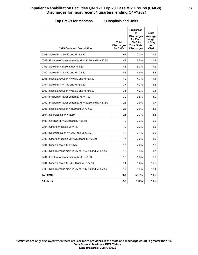# **Inpatient Rehabilitation Facilities Q4FY21 Top 20 Case Mix Groups (CMGs) <sup>23</sup> Discharges for most recent 4 quarters, ending Q4FY2021**

### **Top CMGs for Montana 5 Hospitals and Units**

| <b>CMG Code and Description</b>                           | Total<br><b>Discharges</b><br>for CMG* | Proportion<br>οf<br><b>Discharges</b><br>for Each<br><b>CMG</b> to<br><b>Total State</b><br><b>Discharges</b> | <b>State</b><br>Average<br>Length<br>of Stay<br>for<br><b>CMG</b> |
|-----------------------------------------------------------|----------------------------------------|---------------------------------------------------------------------------------------------------------------|-------------------------------------------------------------------|
| 0103 : Stroke M >=50.50 and M <63.50                      | 62                                     | 7.2%                                                                                                          | 11.2                                                              |
| 0703 : Fracture of lower extremity M >=41.50 and M <52.50 | 47                                     | 5.5%                                                                                                          | 11.2                                                              |
| 0106 : Stroke M <41.50 and A <84.50                       | 45                                     | 5.3%                                                                                                          | 17.6                                                              |
| 0102 : Stroke M >=63.50 and M <72.50                      | 42                                     | 4.9%                                                                                                          | 8.8                                                               |
| 2003 : Miscellaneous M >=46.50 and M <55.50               | 40                                     | 4.7%                                                                                                          | 11.1                                                              |
| 0104 : Stroke M >=41.50 and M <50.50                      | 37                                     | 4.3%                                                                                                          | 15.8                                                              |
| 2002 : Miscellaneous M >=55.50 and M <66.50               | 36                                     | 4.2%                                                                                                          | 9.4                                                               |
| 0704 : Fracture of lower extremity M <41.50               | 30                                     | 3.5%                                                                                                          | 13.9                                                              |
| 0702 : Fracture of lower extremity M >=52.50 and M <61.50 | 25                                     | 2.9%                                                                                                          | 9.7                                                               |
| 2005: Miscellaneous M <46.50 and A <77.50                 | 25                                     | 2.9%                                                                                                          | 13.5                                                              |
| 0604 : Neurological M <43.50                              | 23                                     | 2.7%                                                                                                          | 13.3                                                              |
| 1402 : Cardiac M >=55.50 and M <68.50                     | 19                                     | 2.2%                                                                                                          | 9.5                                                               |
| 0904 : Other orthopedic M <44.5                           | 19                                     | 2.2%                                                                                                          | 12.5                                                              |
| 0602 : Neurological M >=52.50 and M <64.50                | 18                                     | 2.1%                                                                                                          | 9.9                                                               |
| 0902 : Other orthopedic M >=51.50 and M <63.50            | 17                                     | 2.0%                                                                                                          | 8.9                                                               |
| 2001 : Miscellaneous M >=66.50                            | 17                                     | 2.0%                                                                                                          | 7.2                                                               |
| 0302 : Non-traumatic brain injury M >=52.50 and M <65.50  | 16                                     | 1.9%                                                                                                          | 8.7                                                               |
| 0701 : Fracture of lower extremity M >=61.50              | 15                                     | 1.8%                                                                                                          | 8.3                                                               |
| 2004 : Miscellaneous M <46.50 and A >=77.50               | 14                                     | 1.6%                                                                                                          | 11.8                                                              |
| 0303 : Non-traumatic brain injury M >=42.50 and M <52.50  | 13                                     | 1.5%                                                                                                          | 12.4                                                              |
| <b>Top CMGs</b>                                           | 560                                    | 65.3%                                                                                                         | 11.6                                                              |
| <b>All CMGs</b>                                           | 857                                    | 100%                                                                                                          | 11.6                                                              |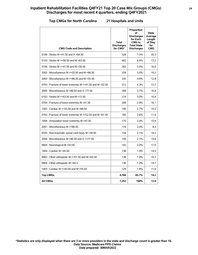# **Inpatient Rehabilitation Facilities Q4FY21 Top 20 Case Mix Groups (CMGs) <sup>24</sup> Discharges for most recent 4 quarters, ending Q4FY2021**

### **Top CMGs for North Carolina 21 Hospitals and Units**

| <b>CMG Code and Description</b>                           | <b>Total</b><br><b>Discharges</b><br>for CMG* | Proportion<br>of<br><b>Discharges</b><br>for Each<br>CMG to<br><b>Total State</b><br><b>Discharges</b> | <b>State</b><br>Average<br>Length<br>of Stay<br>for<br><b>CMG</b> |
|-----------------------------------------------------------|-----------------------------------------------|--------------------------------------------------------------------------------------------------------|-------------------------------------------------------------------|
| 0106 : Stroke M <41.50 and A <84.50                       | 528                                           | 7.3%                                                                                                   | 20.3                                                              |
| 0103 : Stroke M >=50.50 and M <63.50                      | 462                                           | 6.4%                                                                                                   | 13.2                                                              |
| 0104 : Stroke M >=41.50 and M <50.50                      | 362                                           | 5.0%                                                                                                   | 16.0                                                              |
| 2002 : Miscellaneous M >=55.50 and M <66.50               | 359                                           | 5.0%                                                                                                   | 10.5                                                              |
| 2003 : Miscellaneous M >=46.50 and M <55.50               | 335                                           | 4.6%                                                                                                   | 12.8                                                              |
| 0703 : Fracture of lower extremity M >=41.50 and M <52.50 | 312                                           | 4.3%                                                                                                   | 13.7                                                              |
| 2005 : Miscellaneous M <46.50 and A <77.50                | 268                                           | 3.7%                                                                                                   | 16.4                                                              |
| 0102 : Stroke M $> = 63.50$ and M $< 72.50$               | 219                                           | 3.0%                                                                                                   | 10.4                                                              |
| 0704 : Fracture of lower extremity M <41.50               | 209                                           | 2.9%                                                                                                   | 16.1                                                              |
| 1402 : Cardiac M >=55.50 and M <68.50                     | 195                                           | 2.7%                                                                                                   | 10.2                                                              |
| 0702 : Fracture of lower extremity M >=52.50 and M <61.50 | 185                                           | 2.6%                                                                                                   | 11.0                                                              |
| 1004 : Amputation lower extremity M <47.50                | 175                                           | 2.4%                                                                                                   | 15.9                                                              |
| 2001 : Miscellaneous M >=66.50                            | 174                                           | 2.4%                                                                                                   | 8.3                                                               |
| 0505 : Non-traumatic spinal cord injury M <39.50          | 154                                           | 2.1%                                                                                                   | 19.2                                                              |
| 2004 : Miscellaneous M <46.50 and A >=77.50               | 150                                           | 2.1%                                                                                                   | 14.6                                                              |
| 0604 : Neurological M <43.50                              | 142                                           | 2.0%                                                                                                   | 17.0                                                              |
| 1404 : Cardiac M <45.50                                   | 136                                           | 1.9%                                                                                                   | 14.5                                                              |
| 0902 : Other orthopedic M >=51.50 and M <63.50            | 136                                           | 1.9%                                                                                                   | 10.7                                                              |
| 0904 : Other orthopedic M <44.5                           | 136                                           | 1.9%                                                                                                   | 14.7                                                              |
| 1403 : Cardiac M >=45.50 and M <55.50                     | 129                                           | 1.8%                                                                                                   | 11.6                                                              |
| <b>Top CMGs</b>                                           | 4,766                                         | 65.7%                                                                                                  | 14.2                                                              |
| <b>All CMGs</b>                                           | 7,252                                         | 100%                                                                                                   | 13.9                                                              |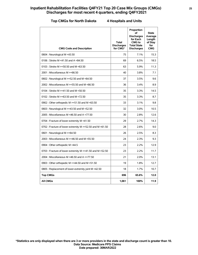# **Inpatient Rehabilitation Facilities Q4FY21 Top 20 Case Mix Groups (CMGs) <sup>25</sup> Discharges for most recent 4 quarters, ending Q4FY2021**

### **Top CMGs for North Dakota 4 Hospitals and Units**

| <b>CMG Code and Description</b>                           | <b>Total</b><br><b>Discharges</b><br>for CMG* | Proportion<br>οf<br><b>Discharges</b><br>for Each<br>CMG to<br><b>Total State</b><br><b>Discharges</b> | <b>State</b><br>Average<br>Length<br>of Stay<br>for<br><b>CMG</b> |
|-----------------------------------------------------------|-----------------------------------------------|--------------------------------------------------------------------------------------------------------|-------------------------------------------------------------------|
| 0604 : Neurological M <43.50                              | 75                                            | 7.1%                                                                                                   | 15.3                                                              |
| 0106 : Stroke M <41.50 and A <84.50                       | 69                                            | 6.5%                                                                                                   | 18.5                                                              |
| 0103 : Stroke M $>=$ 50.50 and M $\leq$ 63.50             | 63                                            | 5.9%                                                                                                   | 11.3                                                              |
| 2001 : Miscellaneous M >=66.50                            | 40                                            | 3.8%                                                                                                   | 7.1                                                               |
| 0602 : Neurological M >=52.50 and M <64.50                | 37                                            | 3.5%                                                                                                   | 9.6                                                               |
| 2002 : Miscellaneous M >=55.50 and M <66.50               | 36                                            | 3.4%                                                                                                   | 8.9                                                               |
| 0104 : Stroke M >=41.50 and M <50.50                      | 35                                            | 3.3%                                                                                                   | 14.5                                                              |
| 0102 : Stroke M $> = 63.50$ and M $< 72.50$               | 35                                            | 3.3%                                                                                                   | 8.7                                                               |
| 0902 : Other orthopedic M >=51.50 and M <63.50            | 33                                            | 3.1%                                                                                                   | 9.8                                                               |
| 0603 : Neurological M >=43.50 and M <52.50                | 32                                            | 3.0%                                                                                                   | 10.5                                                              |
| 2005 : Miscellaneous M <46.50 and A <77.50                | 30                                            | 2.8%                                                                                                   | 12.6                                                              |
| 0704 : Fracture of lower extremity M <41.50               | 29                                            | 2.7%                                                                                                   | 14.3                                                              |
| 0702 : Fracture of lower extremity M >=52.50 and M <61.50 | 28                                            | 2.6%                                                                                                   | 9.0                                                               |
| 0601 : Neurological M >=64.50                             | 26                                            | 2.5%                                                                                                   | 8.3                                                               |
| 2003 : Miscellaneous M >=46.50 and M <55.50               | 24                                            | 2.3%                                                                                                   | 9.3                                                               |
| 0904 : Other orthopedic M <44.5                           | 23                                            | 2.2%                                                                                                   | 12.9                                                              |
| 0703 : Fracture of lower extremity M >=41.50 and M <52.50 | 23                                            | 2.2%                                                                                                   | 11.7                                                              |
| 2004 : Miscellaneous M <46.50 and A >=77.50               | 21                                            | 2.0%                                                                                                   | 13.1                                                              |
| 0903 : Other orthopedic M >=44.50 and M <51.50            | 19                                            | 1.8%                                                                                                   | 12.7                                                              |
| 0805 : Replacement of lower-extremity joint M <42.50      | 18                                            | 1.7%                                                                                                   | 10.7                                                              |
| <b>Top CMGs</b>                                           | 696                                           | 65.6%                                                                                                  | 12.0                                                              |
| <b>All CMGs</b>                                           | 1,061                                         | 100%                                                                                                   | 11.9                                                              |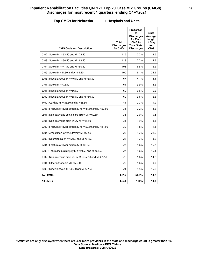# **Inpatient Rehabilitation Facilities Q4FY21 Top 20 Case Mix Groups (CMGs) <sup>26</sup> Discharges for most recent 4 quarters, ending Q4FY2021**

### **Top CMGs for Nebraska 11 Hospitals and Units**

| <b>CMG Code and Description</b>                           | <b>Total</b><br><b>Discharges</b><br>for CMG* | Proportion<br>οf<br><b>Discharges</b><br>for Each<br><b>CMG</b> to<br><b>Total State</b><br><b>Discharges</b> | <b>State</b><br>Average<br>Length<br>of Stay<br>for<br><b>CMG</b> |
|-----------------------------------------------------------|-----------------------------------------------|---------------------------------------------------------------------------------------------------------------|-------------------------------------------------------------------|
| 0102 : Stroke M $> = 63.50$ and M $< 72.50$               | 119                                           | 7.2%                                                                                                          | 12.9                                                              |
| 0103 : Stroke M >=50.50 and M <63.50                      | 118                                           | 7.2%                                                                                                          | 14.9                                                              |
| 0104 : Stroke M $> = 41.50$ and M $< 50.50$               | 108                                           | 6.5%                                                                                                          | 16.2                                                              |
| 0106 : Stroke M <41.50 and A <84.50                       | 100                                           | 6.1%                                                                                                          | 24.2                                                              |
| 2003 : Miscellaneous M >=46.50 and M <55.50               | 67                                            | 4.1%                                                                                                          | 14.1                                                              |
| 0101 : Stroke M >=72.50                                   | 64                                            | 3.9%                                                                                                          | 8.2                                                               |
| 2001 : Miscellaneous M >=66.50                            | 60                                            | 3.6%                                                                                                          | 10.2                                                              |
| 2002 : Miscellaneous M >=55.50 and M <66.50               | 60                                            | 3.6%                                                                                                          | 12.5                                                              |
| 1402 : Cardiac M >=55.50 and M <68.50                     | 44                                            | 2.7%                                                                                                          | 11.9                                                              |
| 0703 : Fracture of lower extremity M >=41.50 and M <52.50 | 36                                            | 2.2%                                                                                                          | 13.5                                                              |
| 0501 : Non-traumatic spinal cord injury M >=60.50         | 33                                            | 2.0%                                                                                                          | 9.6                                                               |
| 0301 : Non-traumatic brain injury M >=65.50               | 31                                            | 1.9%                                                                                                          | 8.8                                                               |
| 0702 : Fracture of lower extremity M >=52.50 and M <61.50 | 30                                            | 1.8%                                                                                                          | 11.3                                                              |
| 1004 : Amputation lower extremity M <47.50                | 28                                            | 1.7%                                                                                                          | 21.0                                                              |
| 0602 : Neurological M >=52.50 and M <64.50                | 28                                            | 1.7%                                                                                                          | 13.5                                                              |
| 0704 : Fracture of lower extremity M <41.50               | 27                                            | 1.6%                                                                                                          | 15.7                                                              |
| 0203 : Traumatic brain injury M $\ge$ =49.50 and M <61.50 | 27                                            | 1.6%                                                                                                          | 15.1                                                              |
| 0302 : Non-traumatic brain injury M >=52.50 and M <65.50  | 26                                            | 1.6%                                                                                                          | 14.8                                                              |
| 0901 : Other orthopedic M >=63.50                         | 26                                            | 1.6%                                                                                                          | 9.0                                                               |
| 2005: Miscellaneous M <46.50 and A <77.50                 | 24                                            | 1.5%                                                                                                          | 15.2                                                              |
| <b>Top CMGs</b>                                           | 1,056                                         | 64.0%                                                                                                         | 14.2                                                              |
| <b>All CMGs</b>                                           | 1,649                                         | 100%                                                                                                          | 14.3                                                              |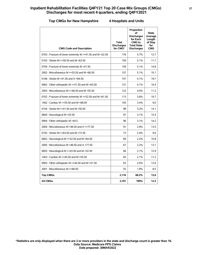# **Inpatient Rehabilitation Facilities Q4FY21 Top 20 Case Mix Groups (CMGs) <sup>27</sup> Discharges for most recent 4 quarters, ending Q4FY2021**

### **Top CMGs for New Hampshire 4 Hospitals and Units**

| <b>CMG Code and Description</b>                           | Total<br><b>Discharges</b><br>for CMG* | Proportion<br>οf<br><b>Discharges</b><br>for Each<br>CMG to<br><b>Total State</b><br><b>Discharges</b> | <b>State</b><br>Average<br>Length<br>of Stay<br>for<br><b>CMG</b> |
|-----------------------------------------------------------|----------------------------------------|--------------------------------------------------------------------------------------------------------|-------------------------------------------------------------------|
| 0703 : Fracture of lower extremity M >=41.50 and M <52.50 | 176                                    | 5.7%                                                                                                   | 12.7                                                              |
| 0103 : Stroke M $>=$ 50.50 and M $\leq$ 63.50             | 159                                    | 5.1%                                                                                                   | 11.7                                                              |
| 0704 : Fracture of lower extremity M <41.50               | 159                                    | 5.1%                                                                                                   | 14.8                                                              |
| 2002 : Miscellaneous M >=55.50 and M <66.50               | 157                                    | 5.1%                                                                                                   | 10.1                                                              |
| 0106 : Stroke M <41.50 and A <84.50                       | 157                                    | 5.1%                                                                                                   | 19.7                                                              |
| 0902 : Other orthopedic M >=51.50 and M <63.50            | 127                                    | 4.1%                                                                                                   | 10.4                                                              |
| 2003 : Miscellaneous M >=46.50 and M <55.50               | 123                                    | 4.0%                                                                                                   | 11.2                                                              |
| 0702 : Fracture of lower extremity M >=52.50 and M <61.50 | 113                                    | 3.6%                                                                                                   | 10.7                                                              |
| 1402 : Cardiac M >=55.50 and M <68.50                     | 105                                    | 3.4%                                                                                                   | 9.0                                                               |
| 0104 : Stroke M >=41.50 and M <50.50                      | 98                                     | 3.2%                                                                                                   | 14.1                                                              |
| 0604 : Neurological M <43.50                              | 97                                     | 3.1%                                                                                                   | 15.4                                                              |
| 0904 : Other orthopedic M <44.5                           | 96                                     | 3.1%                                                                                                   | 14.2                                                              |
| 2004 : Miscellaneous M <46.50 and A >=77.50               | 91                                     | 2.9%                                                                                                   | 13.5                                                              |
| 0102 : Stroke M $> = 63.50$ and M $< 72.50$               | 73                                     | 2.4%                                                                                                   | 9.0                                                               |
| 0602 : Neurological M >=52.50 and M <64.50                | 69                                     | 2.2%                                                                                                   | 10.8                                                              |
| 2005: Miscellaneous M <46.50 and A <77.50                 | 67                                     | 2.2%                                                                                                   | 13.1                                                              |
| 0603 : Neurological M >=43.50 and M <52.50                | 66                                     | 2.1%                                                                                                   | 12.9                                                              |
| 1403 : Cardiac M >=45.50 and M <55.50                     | 65                                     | 2.1%                                                                                                   | 11.2                                                              |
| 0903 : Other orthopedic M >=44.50 and M <51.50            | 63                                     | 2.0%                                                                                                   | 12.6                                                              |
| 2001 : Miscellaneous M >=66.50                            | 55                                     | 1.8%                                                                                                   | 8.5                                                               |
| <b>Top CMGs</b>                                           | 2,116                                  | 68.2%                                                                                                  | 12.6                                                              |
| <b>All CMGs</b>                                           | 3,101                                  | 100%                                                                                                   | 12.5                                                              |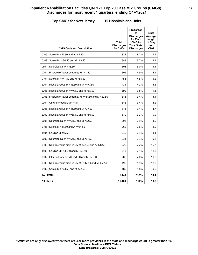# **Inpatient Rehabilitation Facilities Q4FY21 Top 20 Case Mix Groups (CMGs) <sup>28</sup> Discharges for most recent 4 quarters, ending Q4FY2021**

### **Top CMGs for New Jersey 15 Hospitals and Units**

| <b>CMG Code and Description</b>                           | <b>Total</b><br><b>Discharges</b><br>for CMG* | Proportion<br>οf<br><b>Discharges</b><br>for Each<br><b>CMG</b> to<br><b>Total State</b><br><b>Discharges</b> | <b>State</b><br>Average<br>Length<br>of Stay<br>for<br><b>CMG</b> |
|-----------------------------------------------------------|-----------------------------------------------|---------------------------------------------------------------------------------------------------------------|-------------------------------------------------------------------|
| 0106 : Stroke M <41.50 and A <84.50                       | 835                                           | 8.2%                                                                                                          | 19.2                                                              |
| 0103 : Stroke M $>=$ 50.50 and M $\leq$ 63.50             | 581                                           | 5.7%                                                                                                          | 12.4                                                              |
| 0604 : Neurological M <43.50                              | 508                                           | 5.0%                                                                                                          | 15.1                                                              |
| 0704 : Fracture of lower extremity M <41.50               | 502                                           | 4.9%                                                                                                          | 15.4                                                              |
| 0104 : Stroke M >=41.50 and M <50.50                      | 458                                           | 4.5%                                                                                                          | 15.2                                                              |
| 2004 : Miscellaneous M <46.50 and A >=77.50               | 431                                           | 4.2%                                                                                                          | 13.5                                                              |
| 2003 : Miscellaneous M >=46.50 and M <55.50               | 392                                           | 3.8%                                                                                                          | 11.8                                                              |
| 0703 : Fracture of lower extremity M >=41.50 and M <52.50 | 348                                           | 3.4%                                                                                                          | 13.4                                                              |
| 0904 : Other orthopedic M <44.5                           | 346                                           | 3.4%                                                                                                          | 14.2                                                              |
| 2005: Miscellaneous M <46.50 and A <77.50                 | 343                                           | 3.4%                                                                                                          | 14.7                                                              |
| 2002 : Miscellaneous M >=55.50 and M <66.50               | 340                                           | 3.3%                                                                                                          | 9.9                                                               |
| 0603 : Neurological M >=43.50 and M <52.50                | 298                                           | 2.9%                                                                                                          | 13.0                                                              |
| 0105 : Stroke M <41.50 and A >=84.50                      | 262                                           | 2.6%                                                                                                          | 16.9                                                              |
| 1404 : Cardiac M <45.50                                   | 245                                           | 2.4%                                                                                                          | 13.1                                                              |
| 0602 : Neurological M >=52.50 and M <64.50                | 234                                           | 2.3%                                                                                                          | 10.6                                                              |
| 0305 : Non-traumatic brain injury M <42.50 and A <78.50   | 225                                           | 2.2%                                                                                                          | 15.7                                                              |
| 1403 : Cardiac M >=45.50 and M <55.50                     | 213                                           | 2.1%                                                                                                          | 11.8                                                              |
| 0902 : Other orthopedic M >=51.50 and M <63.50            | 202                                           | 2.0%                                                                                                          | 11.2                                                              |
| 0303 : Non-traumatic brain injury M >=42.50 and M <52.50  | 195                                           | 1.9%                                                                                                          | 12.0                                                              |
| 0102 : Stroke M $> = 63.50$ and M $< 72.50$               | 185                                           | 1.8%                                                                                                          | 9.6                                                               |
| <b>Top CMGs</b>                                           | 7.143                                         | 70.1%                                                                                                         | 14.1                                                              |
| <b>All CMGs</b>                                           | 10,183                                        | 100%                                                                                                          | 13.7                                                              |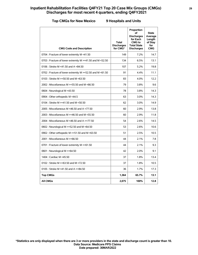# **Inpatient Rehabilitation Facilities Q4FY21 Top 20 Case Mix Groups (CMGs) <sup>29</sup> Discharges for most recent 4 quarters, ending Q4FY2021**

### **Top CMGs for New Mexico 9 Hospitals and Units**

| <b>CMG Code and Description</b>                                | Total<br><b>Discharges</b><br>for CMG* | Proportion<br>οf<br><b>Discharges</b><br>for Each<br><b>CMG</b> to<br><b>Total State</b><br><b>Discharges</b> | <b>State</b><br>Average<br>Length<br>of Stay<br>for<br><b>CMG</b> |
|----------------------------------------------------------------|----------------------------------------|---------------------------------------------------------------------------------------------------------------|-------------------------------------------------------------------|
| 0704 : Fracture of lower extremity M <41.50                    | 149                                    | 7.2%                                                                                                          | 14.7                                                              |
| 0703 : Fracture of lower extremity M >=41.50 and M <52.50      | 134                                    | 6.5%                                                                                                          | 13.1                                                              |
| 0106 : Stroke M <41.50 and A <84.50                            | 107                                    | 5.2%                                                                                                          | 19.8                                                              |
| 0702 : Fracture of lower extremity M $\ge$ =52.50 and M <61.50 | 91                                     | 4.4%                                                                                                          | 11.1                                                              |
| 0103 : Stroke M >=50.50 and M <63.50                           | 83                                     | 4.0%                                                                                                          | 12.2                                                              |
| 2002 : Miscellaneous M >=55.50 and M <66.50                    | 79                                     | 3.8%                                                                                                          | 9.6                                                               |
| 0604 : Neurological M <43.50                                   | 78                                     | 3.8%                                                                                                          | 14.3                                                              |
| 0904 : Other orthopedic M <44.5                                | 63                                     | 3.0%                                                                                                          | 14.3                                                              |
| 0104 : Stroke M >=41.50 and M <50.50                           | 62                                     | 3.0%                                                                                                          | 14.9                                                              |
| 2005: Miscellaneous M <46.50 and A <77.50                      | 60                                     | 2.9%                                                                                                          | 13.8                                                              |
| 2003 : Miscellaneous M >=46.50 and M <55.50                    | 60                                     | 2.9%                                                                                                          | 11.8                                                              |
| 2004 : Miscellaneous M <46.50 and A >=77.50                    | 54                                     | 2.6%                                                                                                          | 14.5                                                              |
| 0602 : Neurological M >=52.50 and M <64.50                     | 53                                     | 2.6%                                                                                                          | 10.6                                                              |
| 0902 : Other orthopedic M >=51.50 and M <63.50                 | 51                                     | 2.5%                                                                                                          | 10.5                                                              |
| 2001 : Miscellaneous M >=66.50                                 | 44                                     | 2.1%                                                                                                          | 7.8                                                               |
| 0701 : Fracture of lower extremity M >=61.50                   | 44                                     | 2.1%                                                                                                          | 9.3                                                               |
| 0601 : Neurological M >=64.50                                  | 42                                     | 2.0%                                                                                                          | 9.1                                                               |
| 1404 : Cardiac M <45.50                                        | 37                                     | 1.8%                                                                                                          | 13.4                                                              |
| 0102 : Stroke M >=63.50 and M <72.50                           | 37                                     | 1.8%                                                                                                          | 10.5                                                              |
| 0105 : Stroke M <41.50 and A >=84.50                           | 36                                     | 1.7%                                                                                                          | 17.3                                                              |
| <b>Top CMGs</b>                                                | 1,364                                  | 65.7%                                                                                                         | 13.1                                                              |
| <b>All CMGs</b>                                                | 2,075                                  | 100%                                                                                                          | 12.8                                                              |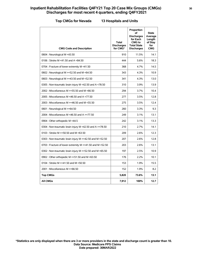# **Inpatient Rehabilitation Facilities Q4FY21 Top 20 Case Mix Groups (CMGs) <sup>30</sup> Discharges for most recent 4 quarters, ending Q4FY2021**

### **Top CMGs for Nevada 13 Hospitals and Units**

| <b>CMG Code and Description</b>                               | Total<br><b>Discharges</b><br>for CMG* | Proportion<br>of<br><b>Discharges</b><br>for Each<br>CMG to<br><b>Total State</b><br><b>Discharges</b> | <b>State</b><br>Average<br>Length<br>of Stay<br>for<br><b>CMG</b> |
|---------------------------------------------------------------|----------------------------------------|--------------------------------------------------------------------------------------------------------|-------------------------------------------------------------------|
| 0604 : Neurological M <43.50                                  | 910                                    | 11.5%                                                                                                  | 14.1                                                              |
| 0106 : Stroke M <41.50 and A <84.50                           | 444                                    | 5.6%                                                                                                   | 18.3                                                              |
| 0704 : Fracture of lower extremity M <41.50                   | 368                                    | 4.7%                                                                                                   | 14.5                                                              |
| 0602 : Neurological M >=52.50 and M <64.50                    | 343                                    | 4.3%                                                                                                   | 10.9                                                              |
| 0603 : Neurological M >=43.50 and M <52.50                    | 341                                    | 4.3%                                                                                                   | 13.0                                                              |
| 0305 : Non-traumatic brain injury M <42.50 and A <78.50       | 310                                    | 3.9%                                                                                                   | 13.9                                                              |
| 2002 : Miscellaneous M >=55.50 and M <66.50                   | 294                                    | 3.7%                                                                                                   | 10.4                                                              |
| 2005: Miscellaneous M <46.50 and A <77.50                     | 277                                    | 3.5%                                                                                                   | 12.8                                                              |
| 2003 : Miscellaneous M >=46.50 and M <55.50                   | 275                                    | 3.5%                                                                                                   | 12.4                                                              |
| 0601 : Neurological M >=64.50                                 | 260                                    | 3.3%                                                                                                   | 9.3                                                               |
| 2004 : Miscellaneous M <46.50 and A >=77.50                   | 249                                    | 3.1%                                                                                                   | 13.1                                                              |
| 0904 : Other orthopedic M <44.5                               | 242                                    | 3.1%                                                                                                   | 13.3                                                              |
| 0304 : Non-traumatic brain injury M <42.50 and A $\ge$ =78.50 | 210                                    | 2.7%                                                                                                   | 14.1                                                              |
| 0103 : Stroke M >=50.50 and M <63.50                          | 209                                    | 2.6%                                                                                                   | 12.3                                                              |
| 0303 : Non-traumatic brain injury M >=42.50 and M <52.50      | 207                                    | 2.6%                                                                                                   | 12.8                                                              |
| 0703 : Fracture of lower extremity M >=41.50 and M <52.50     | 203                                    | 2.6%                                                                                                   | 13.1                                                              |
| 0302 : Non-traumatic brain injury M >=52.50 and M <65.50      | 197                                    | 2.5%                                                                                                   | 10.9                                                              |
| 0902 : Other orthopedic M >=51.50 and M <63.50                | 176                                    | 2.2%                                                                                                   | 10.1                                                              |
| 0104 : Stroke M >=41.50 and M <50.50                          | 153                                    | 1.9%                                                                                                   | 15.5                                                              |
| 2001 : Miscellaneous M >=66.50                                | 152                                    | 1.9%                                                                                                   | 8.2                                                               |
| <b>Top CMGs</b>                                               | 5,820                                  | 73.6%                                                                                                  | 13.1                                                              |
| <b>All CMGs</b>                                               | 7,912                                  | 100%                                                                                                   | 12.7                                                              |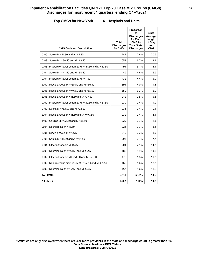# **Inpatient Rehabilitation Facilities Q4FY21 Top 20 Case Mix Groups (CMGs) <sup>31</sup> Discharges for most recent 4 quarters, ending Q4FY2021**

### **Top CMGs for New York 41 Hospitals and Units**

| <b>CMG Code and Description</b>                           | Total<br><b>Discharges</b><br>for CMG* | Proportion<br>of<br><b>Discharges</b><br>for Each<br><b>CMG</b> to<br><b>Total State</b><br><b>Discharges</b> | <b>State</b><br>Average<br>Length<br>of Stay<br>for<br><b>CMG</b> |
|-----------------------------------------------------------|----------------------------------------|---------------------------------------------------------------------------------------------------------------|-------------------------------------------------------------------|
| 0106 : Stroke M <41.50 and A <84.50                       | 744                                    | 7.6%                                                                                                          | 20.9                                                              |
| 0103 : Stroke M $>=$ 50.50 and M $\leq$ 63.50             | 651                                    | 6.7%                                                                                                          | 13.4                                                              |
| 0703 : Fracture of lower extremity M >=41.50 and M <52.50 | 494                                    | 5.1%                                                                                                          | 14.4                                                              |
| 0104 : Stroke M >=41.50 and M <50.50                      | 449                                    | 4.6%                                                                                                          | 16.9                                                              |
| 0704 : Fracture of lower extremity M <41.50               | 432                                    | 4.4%                                                                                                          | 15.9                                                              |
| 2002 : Miscellaneous M >=55.50 and M <66.50               | 391                                    | 4.0%                                                                                                          | 11.3                                                              |
| 2003 : Miscellaneous M >=46.50 and M <55.50               | 359                                    | 3.7%                                                                                                          | 12.9                                                              |
| 2005 : Miscellaneous M <46.50 and A <77.50                | 242                                    | 2.5%                                                                                                          | 15.8                                                              |
| 0702 : Fracture of lower extremity M >=52.50 and M <61.50 | 239                                    | 2.4%                                                                                                          | 11.9                                                              |
| 0102 : Stroke M >=63.50 and M <72.50                      | 236                                    | 2.4%                                                                                                          | 10.4                                                              |
| 2004 : Miscellaneous M <46.50 and A >=77.50               | 232                                    | 2.4%                                                                                                          | 14.4                                                              |
| 1402 : Cardiac M >=55.50 and M <68.50                     | 229                                    | 2.3%                                                                                                          | 11.3                                                              |
| 0604 : Neurological M <43.50                              | 226                                    | 2.3%                                                                                                          | 16.6                                                              |
| 2001 : Miscellaneous M >=66.50                            | 219                                    | 2.2%                                                                                                          | 8.9                                                               |
| 0105 : Stroke M <41.50 and A >=84.50                      | 206                                    | 2.1%                                                                                                          | 17.7                                                              |
| 0904 : Other orthopedic M <44.5                           | 204                                    | 2.1%                                                                                                          | 14.7                                                              |
| 0603 : Neurological M >=43.50 and M <52.50                | 186                                    | 1.9%                                                                                                          | 13.8                                                              |
| 0902 : Other orthopedic M >=51.50 and M <63.50            | 175                                    | 1.8%                                                                                                          | 11.7                                                              |
| 0302 : Non-traumatic brain injury M >=52.50 and M <65.50  | 160                                    | 1.6%                                                                                                          | 12.7                                                              |
| 0602 : Neurological M >=52.50 and M <64.50                | 157                                    | 1.6%                                                                                                          | 11.6                                                              |
| <b>Top CMGs</b>                                           | 6,231                                  | 63.8%                                                                                                         | 14.6                                                              |
| <b>All CMGs</b>                                           | 9,762                                  | 100%                                                                                                          | 14.2                                                              |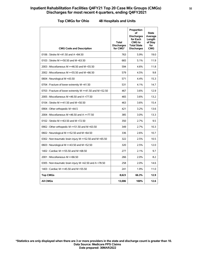# **Inpatient Rehabilitation Facilities Q4FY21 Top 20 Case Mix Groups (CMGs) <sup>32</sup> Discharges for most recent 4 quarters, ending Q4FY2021**

### **Top CMGs for Ohio 48 Hospitals and Units**

| <b>CMG Code and Description</b>                           | <b>Total</b><br><b>Discharges</b><br>for CMG* | Proportion<br>οf<br><b>Discharges</b><br>for Each<br>CMG to<br><b>Total State</b><br><b>Discharges</b> | <b>State</b><br>Average<br>Length<br>of Stay<br>for<br><b>CMG</b> |
|-----------------------------------------------------------|-----------------------------------------------|--------------------------------------------------------------------------------------------------------|-------------------------------------------------------------------|
| 0106 : Stroke M <41.50 and A <84.50                       | 763                                           | 5.9%                                                                                                   | 19.0                                                              |
| 0103 : Stroke M >=50.50 and M <63.50                      | 665                                           | 5.1%                                                                                                   | 11.9                                                              |
| 2003 : Miscellaneous M >=46.50 and M <55.50               | 594                                           | 4.6%                                                                                                   | 11.8                                                              |
| 2002 : Miscellaneous M >=55.50 and M <66.50               | 579                                           | 4.5%                                                                                                   | 9.8                                                               |
| 0604 : Neurological M <43.50                              | 571                                           | 4.4%                                                                                                   | 15.3                                                              |
| 0704 : Fracture of lower extremity M <41.50               | 531                                           | 4.1%                                                                                                   | 14.7                                                              |
| 0703 : Fracture of lower extremity M >=41.50 and M <52.50 | 467                                           | 3.6%                                                                                                   | 12.9                                                              |
| 2005: Miscellaneous M <46.50 and A <77.50                 | 465                                           | 3.6%                                                                                                   | 13.2                                                              |
| 0104 : Stroke M >=41.50 and M <50.50                      | 463                                           | 3.6%                                                                                                   | 15.4                                                              |
| 0904 : Other orthopedic M <44.5                           | 421                                           | 3.2%                                                                                                   | 13.6                                                              |
| 2004 : Miscellaneous M <46.50 and A >=77.50               | 385                                           | 3.0%                                                                                                   | 13.3                                                              |
| 0102 : Stroke M $> = 63.50$ and M $< 72.50$               | 350                                           | 2.7%                                                                                                   | 9.5                                                               |
| 0902 : Other orthopedic M >=51.50 and M <63.50            | 349                                           | 2.7%                                                                                                   | 10.3                                                              |
| 0602 : Neurological M >=52.50 and M <64.50                | 336                                           | 2.6%                                                                                                   | 10.7                                                              |
| 0302 : Non-traumatic brain injury M >=52.50 and M <65.50  | 322                                           | 2.5%                                                                                                   | 10.5                                                              |
| 0603 : Neurological M >=43.50 and M <52.50                | 320                                           | 2.5%                                                                                                   | 12.0                                                              |
| 1402 : Cardiac M >=55.50 and M <68.50                     | 277                                           | 2.1%                                                                                                   | 9.7                                                               |
| 2001 : Miscellaneous M >=66.50                            | 266                                           | 2.0%                                                                                                   | 8.2                                                               |
| 0305 : Non-traumatic brain injury M <42.50 and A <78.50   | 258                                           | 2.0%                                                                                                   | 14.6                                                              |
| 1403 : Cardiac M >=45.50 and M <55.50                     | 241                                           | 1.9%                                                                                                   | 11.0                                                              |
| <b>Top CMGs</b>                                           | 8,623                                         | 66.3%                                                                                                  | 12.9                                                              |
| <b>All CMGs</b>                                           | 13,006                                        | 100%                                                                                                   | 12.6                                                              |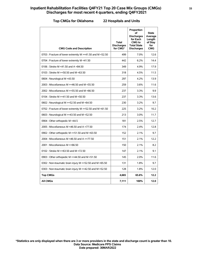# **Inpatient Rehabilitation Facilities Q4FY21 Top 20 Case Mix Groups (CMGs) <sup>33</sup> Discharges for most recent 4 quarters, ending Q4FY2021**

### **Top CMGs for Oklahoma 22 Hospitals and Units**

| <b>CMG Code and Description</b>                           | <b>Total</b><br><b>Discharges</b><br>for CMG* | Proportion<br>οf<br><b>Discharges</b><br>for Each<br><b>CMG</b> to<br><b>Total State</b><br><b>Discharges</b> | <b>State</b><br>Average<br>Length<br>of Stay<br>for<br><b>CMG</b> |
|-----------------------------------------------------------|-----------------------------------------------|---------------------------------------------------------------------------------------------------------------|-------------------------------------------------------------------|
| 0703 : Fracture of lower extremity M >=41.50 and M <52.50 | 499                                           | 7.0%                                                                                                          | 12.6                                                              |
| 0704 : Fracture of lower extremity M <41.50               | 442                                           | 6.2%                                                                                                          | 14.4                                                              |
| 0106 : Stroke M <41.50 and A <84.50                       | 349                                           | 4.9%                                                                                                          | 17.9                                                              |
| 0103 : Stroke M >=50.50 and M <63.50                      | 318                                           | 4.5%                                                                                                          | 11.5                                                              |
| 0604 : Neurological M <43.50                              | 297                                           | 4.2%                                                                                                          | 13.9                                                              |
| 2003 : Miscellaneous M >=46.50 and M <55.50               | 259                                           | 3.6%                                                                                                          | 11.6                                                              |
| 2002 : Miscellaneous M >=55.50 and M <66.50               | 237                                           | 3.3%                                                                                                          | 9.9                                                               |
| 0104 : Stroke M $> = 41.50$ and M $< 50.50$               | 237                                           | 3.3%                                                                                                          | 13.6                                                              |
| 0602 : Neurological M >=52.50 and M <64.50                | 230                                           | 3.2%                                                                                                          | 9.7                                                               |
| 0702 : Fracture of lower extremity M >=52.50 and M <61.50 | 225                                           | 3.2%                                                                                                          | 10.2                                                              |
| 0603 : Neurological M >=43.50 and M <52.50                | 213                                           | 3.0%                                                                                                          | 11.7                                                              |
| 0904 : Other orthopedic M <44.5                           | 181                                           | 2.5%                                                                                                          | 12.7                                                              |
| 2005: Miscellaneous M <46.50 and A <77.50                 | 174                                           | 2.4%                                                                                                          | 12.8                                                              |
| 0902 : Other orthopedic M >=51.50 and M <63.50            | 152                                           | 2.1%                                                                                                          | 9.7                                                               |
| 2004 : Miscellaneous M <46.50 and A >=77.50               | 151                                           | 2.1%                                                                                                          | 12.2                                                              |
| 2001 : Miscellaneous M >=66.50                            | 150                                           | 2.1%                                                                                                          | 8.2                                                               |
| 0102 : Stroke M >=63.50 and M <72.50                      | 147                                           | 2.1%                                                                                                          | 9.1                                                               |
| 0903 : Other orthopedic M >=44.50 and M <51.50            | 145                                           | 2.0%                                                                                                          | 11.6                                                              |
| 0302 : Non-traumatic brain injury M >=52.50 and M <65.50  | 131                                           | 1.8%                                                                                                          | 9.7                                                               |
| 0303 : Non-traumatic brain injury M >=42.50 and M <52.50  | 128                                           | 1.8%                                                                                                          | 12.0                                                              |
| <b>Top CMGs</b>                                           | 4,665                                         | 65.6%                                                                                                         | 12.2                                                              |
| <b>All CMGs</b>                                           | 7,111                                         | 100%                                                                                                          | 12.0                                                              |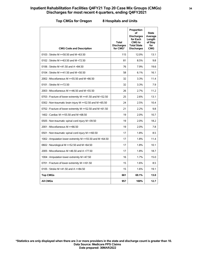### **Inpatient Rehabilitation Facilities Q4FY21 Top 20 Case Mix Groups (CMGs) <sup>34</sup> Discharges for most recent 4 quarters, ending Q4FY2021**

|  |  |  | <b>Top CMGs for Oregor</b> |
|--|--|--|----------------------------|
|--|--|--|----------------------------|

### **Top CMGs for Oregon 8 Hospitals and Units**

| <b>CMG Code and Description</b>                           | <b>Total</b><br><b>Discharges</b><br>for CMG* | Proportion<br>of<br><b>Discharges</b><br>for Each<br>CMG to<br><b>Total State</b><br><b>Discharges</b> | State<br>Average<br>Length<br>of Stay<br>for<br><b>CMG</b> |
|-----------------------------------------------------------|-----------------------------------------------|--------------------------------------------------------------------------------------------------------|------------------------------------------------------------|
| 0103 : Stroke M >=50.50 and M <63.50                      | 115                                           | 12.0%                                                                                                  | 13.1                                                       |
| 0102 : Stroke M $> = 63.50$ and M $< 72.50$               | 81                                            | 8.5%                                                                                                   | 9.8                                                        |
| 0106 : Stroke M <41.50 and A <84.50                       | 76                                            | 7.9%                                                                                                   | 19.6                                                       |
| 0104 : Stroke M $> = 41.50$ and M $< 50.50$               | 58                                            | 6.1%                                                                                                   | 16.1                                                       |
| 2002 : Miscellaneous M >=55.50 and M <66.50               | 32                                            | 3.3%                                                                                                   | 11.4                                                       |
| 0101 : Stroke M >=72.50                                   | 32                                            | 3.3%                                                                                                   | 7.9                                                        |
| 2003 : Miscellaneous M >=46.50 and M <55.50               | 26                                            | 2.7%                                                                                                   | 11.2                                                       |
| 0703 : Fracture of lower extremity M >=41.50 and M <52.50 | 25                                            | 2.6%                                                                                                   | 13.1                                                       |
| 0302 : Non-traumatic brain injury M >=52.50 and M <65.50  | 24                                            | 2.5%                                                                                                   | 10.4                                                       |
| 0702 : Fracture of lower extremity M >=52.50 and M <61.50 | 21                                            | 2.2%                                                                                                   | 9.8                                                        |
| 1402 : Cardiac M >=55.50 and M <68.50                     | 19                                            | 2.0%                                                                                                   | 10.7                                                       |
| 0505 : Non-traumatic spinal cord injury M <39.50          | 19                                            | 2.0%                                                                                                   | 18.2                                                       |
| 2001 : Miscellaneous M >=66.50                            | 19                                            | 2.0%                                                                                                   | 7.8                                                        |
| 0501 : Non-traumatic spinal cord injury M >=60.50         | 17                                            | 1.8%                                                                                                   | 8.5                                                        |
| 1002 : Amputation lower extremity M >=55.50 and M <64.50  | 17                                            | 1.8%                                                                                                   | 11.4                                                       |
| 0602 : Neurological M >=52.50 and M <64.50                | 17                                            | 1.8%                                                                                                   | 10.1                                                       |
| 2005 : Miscellaneous M <46.50 and A <77.50                | 17                                            | 1.8%                                                                                                   | 18.7                                                       |
| 1004 : Amputation lower extremity M <47.50                | 16                                            | 1.7%                                                                                                   | 15.0                                                       |
| 0701 : Fracture of lower extremity M >=61.50              | 15                                            | 1.6%                                                                                                   | 8.5                                                        |
| 0105 : Stroke M <41.50 and A >=84.50                      | 15                                            | 1.6%                                                                                                   | 19.1                                                       |
| <b>Top CMGs</b>                                           | 661                                           | 69.1%                                                                                                  | 13.0                                                       |
| <b>All CMGs</b>                                           | 957                                           | 100%                                                                                                   | 12.7                                                       |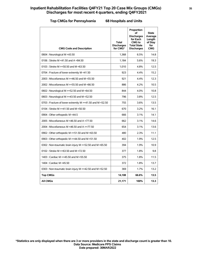# **Inpatient Rehabilitation Facilities Q4FY21 Top 20 Case Mix Groups (CMGs) <sup>35</sup> Discharges for most recent 4 quarters, ending Q4FY2021**

### **Top CMGs for Pennsylvania 68 Hospitals and Units**

| <b>CMG Code and Description</b>                           | <b>Total</b><br><b>Discharges</b><br>for CMG* | Proportion<br>οf<br><b>Discharges</b><br>for Each<br><b>CMG</b> to<br><b>Total State</b><br><b>Discharges</b> | <b>State</b><br>Average<br>Length<br>of Stay<br>for<br><b>CMG</b> |
|-----------------------------------------------------------|-----------------------------------------------|---------------------------------------------------------------------------------------------------------------|-------------------------------------------------------------------|
| 0604 : Neurological M <43.50                              | 1.368                                         | 6.5%                                                                                                          | 14.8                                                              |
| 0106 : Stroke M <41.50 and A <84.50                       | 1.184                                         | 5.6%                                                                                                          | 19.3                                                              |
| 0103 : Stroke M >=50.50 and M <63.50                      | 1,010                                         | 4.8%                                                                                                          | 12.5                                                              |
| 0704 : Fracture of lower extremity M <41.50               | 923                                           | 4.4%                                                                                                          | 15.2                                                              |
| 2003 : Miscellaneous M >=46.50 and M <55.50               | 921                                           | 4.4%                                                                                                          | 12.3                                                              |
| 2002 : Miscellaneous M >=55.50 and M <66.50               | 886                                           | 4.2%                                                                                                          | 10.5                                                              |
| 0602 : Neurological M >=52.50 and M <64.50                | 844                                           | 4.0%                                                                                                          | 10.8                                                              |
| 0603 : Neurological M >=43.50 and M <52.50                | 796                                           | 3.8%                                                                                                          | 12.5                                                              |
| 0703 : Fracture of lower extremity M >=41.50 and M <52.50 | 755                                           | 3.6%                                                                                                          | 13.5                                                              |
| 0104 : Stroke M $> = 41.50$ and M $< 50.50$               | 670                                           | 3.2%                                                                                                          | 16.1                                                              |
| 0904 : Other orthopedic M <44.5                           | 666                                           | 3.1%                                                                                                          | 14.1                                                              |
| 2005: Miscellaneous M <46.50 and A <77.50                 | 662                                           | 3.1%                                                                                                          | 14.6                                                              |
| 2004 : Miscellaneous M <46.50 and A >=77.50               | 654                                           | 3.1%                                                                                                          | 13.6                                                              |
| 0902 : Other orthopedic M >=51.50 and M <63.50            | 480                                           | 2.3%                                                                                                          | 11.1                                                              |
| 0903 : Other orthopedic M >=44.50 and M <51.50            | 402                                           | 1.9%                                                                                                          | 12.5                                                              |
| 0302 : Non-traumatic brain injury M >=52.50 and M <65.50  | 394                                           | 1.9%                                                                                                          | 10.9                                                              |
| 0102 : Stroke M >=63.50 and M <72.50                      | 377                                           | 1.8%                                                                                                          | 9.8                                                               |
| 1403 : Cardiac M >=45.50 and M <55.50                     | 375                                           | 1.8%                                                                                                          | 11.5                                                              |
| 1404 : Cardiac M <45.50                                   | 372                                           | 1.8%                                                                                                          | 13.7                                                              |
| 0303 : Non-traumatic brain injury M >=42.50 and M <52.50  | 369                                           | 1.7%                                                                                                          | 13.2                                                              |
| <b>Top CMGs</b>                                           | 14,108                                        | 66.6%                                                                                                         | 13.5                                                              |
| <b>All CMGs</b>                                           | 21,171                                        | 100%                                                                                                          | 13.3                                                              |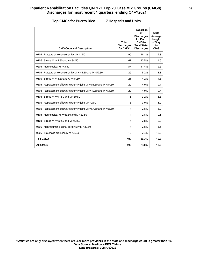# **Inpatient Rehabilitation Facilities Q4FY21 Top 20 Case Mix Groups (CMGs) <sup>36</sup> Discharges for most recent 4 quarters, ending Q4FY2021**

### **Top CMGs for Puerto Rico 7 Hospitals and Units**

| <b>CMG Code and Description</b>                                    | <b>Total</b><br><b>Discharges</b><br>for CMG* | Proportion<br>οf<br><b>Discharges</b><br>for Each<br><b>CMG</b> to<br><b>Total State</b><br><b>Discharges</b> | <b>State</b><br>Average<br>Length<br>of Stay<br>for<br><b>CMG</b> |
|--------------------------------------------------------------------|-----------------------------------------------|---------------------------------------------------------------------------------------------------------------|-------------------------------------------------------------------|
| 0704 : Fracture of lower extremity M <41.50                        | 90                                            | 18.1%                                                                                                         | 12.3                                                              |
| 0106 : Stroke M <41.50 and A <84.50                                | 67                                            | 13.5%                                                                                                         | 14.6                                                              |
| 0604 : Neurological M <43.50                                       | 57                                            | 11.4%                                                                                                         | 12.6                                                              |
| 0703 : Fracture of lower extremity M >=41.50 and M <52.50          | 26                                            | 5.2%                                                                                                          | 11.3                                                              |
| 0105 : Stroke M <41.50 and A >=84.50                               | 21                                            | 4.2%                                                                                                          | 14.5                                                              |
| 0803 : Replacement of lower-extremity joint M >=51.50 and M <57.50 | 20                                            | 4.0%                                                                                                          | 9.4                                                               |
| 0804 : Replacement of lower-extremity joint M >=42.50 and M <51.50 | 20                                            | 4.0%                                                                                                          | 9.7                                                               |
| 0104 : Stroke M >=41.50 and M <50.50                               | 16                                            | 3.2%                                                                                                          | 13.8                                                              |
| 0805 : Replacement of lower-extremity joint M <42.50               | 15                                            | 3.0%                                                                                                          | 11.0                                                              |
| 0802 : Replacement of lower-extremity joint M >=57.50 and M <63.50 | 14                                            | 2.8%                                                                                                          | 8.2                                                               |
| 0603 : Neurological M >=43.50 and M <52.50                         | 14                                            | 2.8%                                                                                                          | 10.6                                                              |
| 0103 : Stroke M $>=$ 50.50 and M $\leq$ 63.50                      | 14                                            | 2.8%                                                                                                          | 10.9                                                              |
| 0505 : Non-traumatic spinal cord injury M <39.50                   | 14                                            | 2.8%                                                                                                          | 13.6                                                              |
| 0205 : Traumatic brain injury M <35.50                             | 12                                            | 2.4%                                                                                                          | 12.2                                                              |
| <b>Top CMGs</b>                                                    | 400                                           | 80.3%                                                                                                         | 12.3                                                              |
| <b>All CMGs</b>                                                    | 498                                           | 100%                                                                                                          | 12.0                                                              |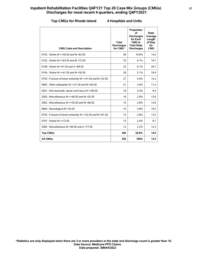# **Inpatient Rehabilitation Facilities Q4FY21 Top 20 Case Mix Groups (CMGs) <sup>37</sup> Discharges for most recent 4 quarters, ending Q4FY2021**

### **Top CMGs for Rhode Island 4 Hospitals and Units**

| <b>CMG Code and Description</b>                           | <b>Total</b><br><b>Discharges</b><br>for CMG* | Proportion<br>of<br><b>Discharges</b><br>for Each<br>CMG to<br><b>Total State</b><br><b>Discharges</b> | <b>State</b><br>Average<br>Length<br>of Stay<br>for<br><b>CMG</b> |
|-----------------------------------------------------------|-----------------------------------------------|--------------------------------------------------------------------------------------------------------|-------------------------------------------------------------------|
| 0103 : Stroke M >=50.50 and M <63.50                      | 58                                            | 10.6%                                                                                                  | 14.0                                                              |
| 0102 : Stroke M >=63.50 and M <72.50                      | 33                                            | 6.1%                                                                                                   | 10.7                                                              |
| 0106 : Stroke M <41.50 and A <84.50                       | 33                                            | 6.1%                                                                                                   | 20.7                                                              |
| 0104 : Stroke M >=41.50 and M <50.50                      | 28                                            | 5.1%                                                                                                   | 16.9                                                              |
| 0703 : Fracture of lower extremity M >=41.50 and M <52.50 | 27                                            | 5.0%                                                                                                   | 14.2                                                              |
| 0902 : Other orthopedic M >=51.50 and M <63.50            | 21                                            | 3.9%                                                                                                   | 11.4                                                              |
| 0501 : Non-traumatic spinal cord injury M >=60.50         | 18                                            | 3.3%                                                                                                   | 8.4                                                               |
| 2003 : Miscellaneous M >=46.50 and M <55.50               | 16                                            | 2.9%                                                                                                   | 13.6                                                              |
| 2002 : Miscellaneous M >=55.50 and M <66.50               | 15                                            | 2.8%                                                                                                   | 12.6                                                              |
| 0604 : Neurological M <43.50                              | 15                                            | 2.8%                                                                                                   | 19.3                                                              |
| 0702 : Fracture of lower extremity M >=52.50 and M <61.50 | 15                                            | 2.8%                                                                                                   | 13.5                                                              |
| 0101 : Stroke M >=72.50                                   | 13                                            | 2.4%                                                                                                   | 8.7                                                               |
| 2005: Miscellaneous M <46.50 and A <77.50                 | 12                                            | 2.2%                                                                                                   | 12.3                                                              |
| <b>Top CMGs</b>                                           | 304                                           | 55.8%                                                                                                  | 14.0                                                              |
| <b>All CMGs</b>                                           | 545                                           | 100%                                                                                                   | 13.5                                                              |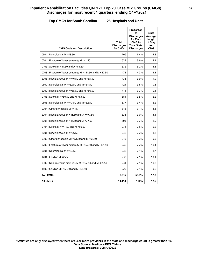# **Inpatient Rehabilitation Facilities Q4FY21 Top 20 Case Mix Groups (CMGs) <sup>38</sup> Discharges for most recent 4 quarters, ending Q4FY2021**

### **Top CMGs for South Carolina 25 Hospitals and Units**

| <b>CMG Code and Description</b>                           | Total<br><b>Discharges</b><br>for CMG* | Proportion<br>οf<br><b>Discharges</b><br>for Each<br><b>CMG</b> to<br><b>Total State</b><br><b>Discharges</b> | <b>State</b><br>Average<br>Length<br>of Stay<br>for<br><b>CMG</b> |
|-----------------------------------------------------------|----------------------------------------|---------------------------------------------------------------------------------------------------------------|-------------------------------------------------------------------|
| 0604 : Neurological M <43.50                              | 706                                    | 6.4%                                                                                                          | 14.8                                                              |
| 0704 : Fracture of lower extremity M <41.50               | 627                                    | 5.6%                                                                                                          | 15.1                                                              |
| 0106 : Stroke M <41.50 and A <84.50                       | 576                                    | 5.2%                                                                                                          | 18.8                                                              |
| 0703 : Fracture of lower extremity M >=41.50 and M <52.50 | 475                                    | 4.3%                                                                                                          | 13.3                                                              |
| 2003 : Miscellaneous M >=46.50 and M <55.50               | 436                                    | 3.9%                                                                                                          | 11.9                                                              |
| 0602 : Neurological M >=52.50 and M <64.50                | 421                                    | 3.8%                                                                                                          | 10.8                                                              |
| 2002 : Miscellaneous M >=55.50 and M <66.50               | 411                                    | 3.7%                                                                                                          | 10.1                                                              |
| 0103 : Stroke M >=50.50 and M <63.50                      | 384                                    | 3.5%                                                                                                          | 12.2                                                              |
| 0603 : Neurological M >=43.50 and M <52.50                | 377                                    | 3.4%                                                                                                          | 12.2                                                              |
| 0904 : Other orthopedic M <44.5                           | 348                                    | 3.1%                                                                                                          | 13.3                                                              |
| 2004 : Miscellaneous M <46.50 and A >=77.50               | 333                                    | 3.0%                                                                                                          | 13.1                                                              |
| 2005: Miscellaneous M <46.50 and A <77.50                 | 303                                    | 2.7%                                                                                                          | 12.9                                                              |
| 0104 : Stroke M >=41.50 and M <50.50                      | 276                                    | 2.5%                                                                                                          | 15.2                                                              |
| 2001 : Miscellaneous M >=66.50                            | 246                                    | 2.2%                                                                                                          | 8.2                                                               |
| 0902 : Other orthopedic M >=51.50 and M <63.50            | 245                                    | 2.2%                                                                                                          | 10.5                                                              |
| 0702 : Fracture of lower extremity M >=52.50 and M <61.50 | 240                                    | 2.2%                                                                                                          | 10.4                                                              |
| 0601 : Neurological M >=64.50                             | 238                                    | 2.1%                                                                                                          | 8.7                                                               |
| 1404 : Cardiac M <45.50                                   | 233                                    | 2.1%                                                                                                          | 13.1                                                              |
| 0302 : Non-traumatic brain injury M >=52.50 and M <65.50  | 231                                    | 2.1%                                                                                                          | 10.8                                                              |
| 1402 : Cardiac M >=55.50 and M <68.50                     | 229                                    | 2.1%                                                                                                          | 9.6                                                               |
| <b>Top CMGs</b>                                           | 7,335                                  | 66.0%                                                                                                         | 12.8                                                              |
| <b>All CMGs</b>                                           | 11,114                                 | 100%                                                                                                          | 12.5                                                              |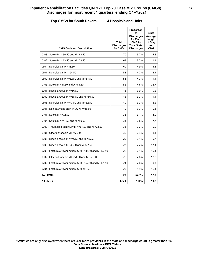# **Inpatient Rehabilitation Facilities Q4FY21 Top 20 Case Mix Groups (CMGs) <sup>39</sup> Discharges for most recent 4 quarters, ending Q4FY2021**

### **Top CMGs for South Dakota 4 Hospitals and Units**

| <b>CMG Code and Description</b>                            | <b>Total</b><br><b>Discharges</b><br>for CMG* | Proportion<br>οf<br><b>Discharges</b><br>for Each<br><b>CMG</b> to<br><b>Total State</b><br><b>Discharges</b> | <b>State</b><br>Average<br>Length<br>of Stay<br>for<br><b>CMG</b> |
|------------------------------------------------------------|-----------------------------------------------|---------------------------------------------------------------------------------------------------------------|-------------------------------------------------------------------|
| 0103 : Stroke M $>=$ 50.50 and M $\leq$ 63.50              | 70                                            | 5.7%                                                                                                          | 14.8                                                              |
| 0102 : Stroke M $> = 63.50$ and M $< 72.50$                | 65                                            | 5.3%                                                                                                          | 11.4                                                              |
| 0604 : Neurological M <43.50                               | 60                                            | 4.9%                                                                                                          | 15.8                                                              |
| 0601 : Neurological M >=64.50                              | 58                                            | 4.7%                                                                                                          | 8.4                                                               |
| 0602 : Neurological M >=52.50 and M <64.50                 | 58                                            | 4.7%                                                                                                          | 11.4                                                              |
| 0106 : Stroke M <41.50 and A <84.50                        | 56                                            | 4.6%                                                                                                          | 22.7                                                              |
| 2001 : Miscellaneous M >=66.50                             | 48                                            | 3.9%                                                                                                          | 9.2                                                               |
| 2002 : Miscellaneous M >=55.50 and M <66.50                | 45                                            | 3.7%                                                                                                          | 11.4                                                              |
| 0603 : Neurological M >=43.50 and M <52.50                 | 40                                            | 3.3%                                                                                                          | 12.2                                                              |
| 0301 : Non-traumatic brain injury M >=65.50                | 40                                            | 3.3%                                                                                                          | 10.3                                                              |
| 0101 : Stroke M >=72.50                                    | 38                                            | 3.1%                                                                                                          | 8.0                                                               |
| 0104 : Stroke M >=41.50 and M <50.50                       | 34                                            | 2.8%                                                                                                          | 17.7                                                              |
| 0202 : Traumatic brain injury M $\geq$ =61.50 and M <73.50 | 33                                            | 2.7%                                                                                                          | 10.9                                                              |
| 0901 : Other orthopedic M >=63.50                          | 30                                            | 2.4%                                                                                                          | 8.1                                                               |
| 2003 : Miscellaneous M >=46.50 and M <55.50                | 29                                            | 2.4%                                                                                                          | 15.7                                                              |
| 2005: Miscellaneous M <46.50 and A <77.50                  | 27                                            | 2.2%                                                                                                          | 17.4                                                              |
| 0703 : Fracture of lower extremity M >=41.50 and M <52.50  | 26                                            | 2.1%                                                                                                          | 15.1                                                              |
| 0902 : Other orthopedic M >=51.50 and M <63.50             | 25                                            | 2.0%                                                                                                          | 12.2                                                              |
| 0702 : Fracture of lower extremity M >=52.50 and M <61.50  | 24                                            | 2.0%                                                                                                          | 9.3                                                               |
| 0704 : Fracture of lower extremity M <41.50                | 23                                            | 1.9%                                                                                                          | 16.4                                                              |
| <b>Top CMGs</b>                                            | 829                                           | 67.5%                                                                                                         | 12.9                                                              |
| <b>All CMGs</b>                                            | 1,229                                         | 100%                                                                                                          | 13.2                                                              |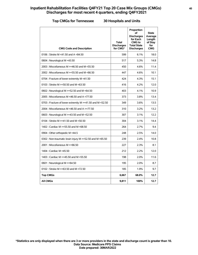# **Inpatient Rehabilitation Facilities Q4FY21 Top 20 Case Mix Groups (CMGs) <sup>40</sup> Discharges for most recent 4 quarters, ending Q4FY2021**

### **Top CMGs for Tennessee 30 Hospitals and Units**

| <b>CMG Code and Description</b>                           | <b>Total</b><br><b>Discharges</b><br>for CMG* | Proportion<br>οf<br><b>Discharges</b><br>for Each<br>CMG to<br><b>Total State</b><br><b>Discharges</b> | <b>State</b><br>Average<br>Length<br>of Stay<br>for<br><b>CMG</b> |
|-----------------------------------------------------------|-----------------------------------------------|--------------------------------------------------------------------------------------------------------|-------------------------------------------------------------------|
| 0106 : Stroke M <41.50 and A <84.50                       | 599                                           | 6.1%                                                                                                   | 18.0                                                              |
| 0604 : Neurological M <43.50                              | 517                                           | 5.3%                                                                                                   | 14.8                                                              |
| 2003 : Miscellaneous M >=46.50 and M <55.50               | 450                                           | 4.6%                                                                                                   | 11.4                                                              |
| 2002 : Miscellaneous M >=55.50 and M <66.50               | 447                                           | 4.6%                                                                                                   | 10.1                                                              |
| 0704 : Fracture of lower extremity M <41.50               | 424                                           | 4.3%                                                                                                   | 15.1                                                              |
| 0103 : Stroke M >=50.50 and M <63.50                      | 416                                           | 4.2%                                                                                                   | 12.0                                                              |
| 0602 : Neurological M >=52.50 and M <64.50                | 403                                           | 4.1%                                                                                                   | 10.9                                                              |
| 2005: Miscellaneous M <46.50 and A <77.50                 | 373                                           | 3.8%                                                                                                   | 13.4                                                              |
| 0703 : Fracture of lower extremity M >=41.50 and M <52.50 | 349                                           | 3.6%                                                                                                   | 13.5                                                              |
| 2004 : Miscellaneous M <46.50 and A >=77.50               | 310                                           | 3.2%                                                                                                   | 13.2                                                              |
| 0603 : Neurological M >=43.50 and M <52.50                | 307                                           | 3.1%                                                                                                   | 12.2                                                              |
| 0104 : Stroke M >=41.50 and M <50.50                      | 304                                           | 3.1%                                                                                                   | 14.4                                                              |
| 1402 : Cardiac M >=55.50 and M <68.50                     | 264                                           | 2.7%                                                                                                   | 9.4                                                               |
| 0904 : Other orthopedic M <44.5                           | 248                                           | 2.5%                                                                                                   | 14.0                                                              |
| 0302 : Non-traumatic brain injury M >=52.50 and M <65.50  | 239                                           | 2.4%                                                                                                   | 10.8                                                              |
| 2001 : Miscellaneous M >=66.50                            | 227                                           | 2.3%                                                                                                   | 8.1                                                               |
| 1404 : Cardiac M <45.50                                   | 212                                           | 2.2%                                                                                                   | 12.0                                                              |
| 1403 : Cardiac M >=45.50 and M <55.50                     | 198                                           | 2.0%                                                                                                   | 11.6                                                              |
| 0601 : Neurological M >=64.50                             | 195                                           | 2.0%                                                                                                   | 8.7                                                               |
| 0102 : Stroke M >=63.50 and M <72.50                      | 185                                           | 1.9%                                                                                                   | 9.7                                                               |
| <b>Top CMGs</b>                                           | 6,667                                         | 68.0%                                                                                                  | 12.7                                                              |
| <b>All CMGs</b>                                           | 9.811                                         | 100%                                                                                                   | 12.7                                                              |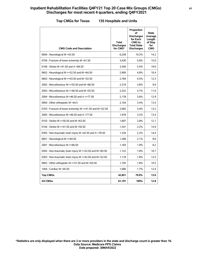# **Inpatient Rehabilitation Facilities Q4FY21 Top 20 Case Mix Groups (CMGs) <sup>41</sup> Discharges for most recent 4 quarters, ending Q4FY2021**

### **Top CMGs for Texas 135 Hospitals and Units**

| <b>CMG Code and Description</b>                           | Total<br><b>Discharges</b><br>for CMG* | Proportion<br>оf<br><b>Discharges</b><br>for Each<br><b>CMG</b> to<br><b>Total State</b><br><b>Discharges</b> | <b>State</b><br>Average<br>Length<br>of Stay<br>for<br><b>CMG</b> |
|-----------------------------------------------------------|----------------------------------------|---------------------------------------------------------------------------------------------------------------|-------------------------------------------------------------------|
| 0604 : Neurological M <43.50                              | 6,258                                  | 10.2%                                                                                                         | 14.2                                                              |
| 0704 : Fracture of lower extremity M <41.50               | 3,430                                  | 5.6%                                                                                                          | 15.0                                                              |
| 0106 : Stroke M <41.50 and A <84.50                       | 3.340                                  | 5.5%                                                                                                          | 19.0                                                              |
| 0602 : Neurological M >=52.50 and M <64.50                | 2,909                                  | 4.8%                                                                                                          | 10.4                                                              |
| 0603 : Neurological M >=43.50 and M <52.50                | 2,784                                  | 4.5%                                                                                                          | 12.3                                                              |
| 2002 : Miscellaneous M >=55.50 and M <66.50               | 2.319                                  | 3.8%                                                                                                          | 9.9                                                               |
| 2003 : Miscellaneous M >=46.50 and M <55.50               | 2,252                                  | 3.7%                                                                                                          | 11.6                                                              |
| 2004 : Miscellaneous M <46.50 and A >=77.50               | 2,178                                  | 3.6%                                                                                                          | 12.9                                                              |
| 0904 : Other orthopedic M <44.5                           | 2.104                                  | 3.4%                                                                                                          | 13.4                                                              |
| 0703 : Fracture of lower extremity M >=41.50 and M <52.50 | 2,065                                  | 3.4%                                                                                                          | 13.2                                                              |
| 2005 : Miscellaneous M <46.50 and A <77.50                | 1,978                                  | 3.2%                                                                                                          | 13.4                                                              |
| 0103 : Stroke M >=50.50 and M <63.50                      | 1,697                                  | 2.8%                                                                                                          | 12.1                                                              |
| 0104 : Stroke M >=41.50 and M <50.50                      | 1,341                                  | 2.2%                                                                                                          | 14.9                                                              |
| 0305 : Non-traumatic brain injury M <42.50 and A <78.50   | 1,334                                  | 2.2%                                                                                                          | 14.4                                                              |
| 0601 : Neurological M >=64.50                             | 1,268                                  | 2.1%                                                                                                          | 8.6                                                               |
| 2001 : Miscellaneous M >=66.50                            | 1,183                                  | 1.9%                                                                                                          | 8.2                                                               |
| 0302 : Non-traumatic brain injury M >=52.50 and M <65.50  | 1,122                                  | 1.8%                                                                                                          | 10.7                                                              |
| 0303 : Non-traumatic brain injury M >=42.50 and M <52.50  | 1,118                                  | 1.8%                                                                                                          | 12.5                                                              |
| 0902 : Other orthopedic M >=51.50 and M <63.50            | 1,105                                  | 1.8%                                                                                                          | 10.5                                                              |
| 1404 : Cardiac M <45.50                                   | 1,066                                  | 1.7%                                                                                                          | 12.4                                                              |
| <b>Top CMGs</b>                                           | 42,851                                 | 70.0%                                                                                                         | 13.0                                                              |
| <b>All CMGs</b>                                           | 61,191                                 | 100%                                                                                                          | 12.8                                                              |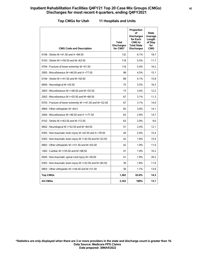# **Inpatient Rehabilitation Facilities Q4FY21 Top 20 Case Mix Groups (CMGs) <sup>42</sup> Discharges for most recent 4 quarters, ending Q4FY2021**

### **Top CMGs for Utah 11 Hospitals and Units**

| <b>CMG Code and Description</b>                           | Total<br><b>Discharges</b><br>for CMG* | Proportion<br>οf<br><b>Discharges</b><br>for Each<br>CMG to<br><b>Total State</b><br><b>Discharges</b> | <b>State</b><br>Average<br>Length<br>of Stay<br>for<br><b>CMG</b> |
|-----------------------------------------------------------|----------------------------------------|--------------------------------------------------------------------------------------------------------|-------------------------------------------------------------------|
| 0106 : Stroke M <41.50 and A <84.50                       | 132                                    | 6.1%                                                                                                   | 18.7                                                              |
| 0103 : Stroke M >=50.50 and M <63.50                      | 118                                    | 5.5%                                                                                                   | 11.7                                                              |
| 0704 : Fracture of lower extremity M <41.50               | 116                                    | 5.4%                                                                                                   | 16.2                                                              |
| 2005 : Miscellaneous M <46.50 and A <77.50                | 98                                     | 4.5%                                                                                                   | 15.1                                                              |
| 0104 : Stroke M >=41.50 and M <50.50                      | 89                                     | 4.1%                                                                                                   | 15.8                                                              |
| 0604 : Neurological M <43.50                              | 75                                     | 3.5%                                                                                                   | 16.3                                                              |
| 2003 : Miscellaneous M >=46.50 and M <55.50               | 73                                     | 3.4%                                                                                                   | 12.2                                                              |
| 2002 : Miscellaneous M >=55.50 and M <66.50               | 67                                     | 3.1%                                                                                                   | 11.3                                                              |
| 0703 : Fracture of lower extremity M >=41.50 and M <52.50 | 67                                     | 3.1%                                                                                                   | 14.0                                                              |
| 0904 : Other orthopedic M <44.5                           | 65                                     | 3.0%                                                                                                   | 14.1                                                              |
| 2004 : Miscellaneous M <46.50 and A >=77.50               | 63                                     | 2.9%                                                                                                   | 14.7                                                              |
| 0102: Stroke M >=63.50 and M <72.50                       | 63                                     | 2.9%                                                                                                   | 9.0                                                               |
| 0602 : Neurological M >=52.50 and M <64.50                | 51                                     | 2.4%                                                                                                   | 12.1                                                              |
| 0305 : Non-traumatic brain injury M <42.50 and A <78.50   | 44                                     | 2.0%                                                                                                   | 15.4                                                              |
| 0303 : Non-traumatic brain injury M >=42.50 and M <52.50  | 42                                     | 1.9%                                                                                                   | 15.4                                                              |
| 0902 : Other orthopedic M >=51.50 and M <63.50            | 42                                     | 1.9%                                                                                                   | 11.0                                                              |
| 1402 : Cardiac M >=55.50 and M <68.50                     | 41                                     | 1.9%                                                                                                   | 10.2                                                              |
| 0505 : Non-traumatic spinal cord injury M <39.50          | 41                                     | 1.9%                                                                                                   | 20.2                                                              |
| 0302 : Non-traumatic brain injury M >=52.50 and M <65.50  | 39                                     | 1.8%                                                                                                   | 11.6                                                              |
| 0903 : Other orthopedic M >=44.50 and M <51.50            | 36                                     | 1.7%                                                                                                   | 13.6                                                              |
| <b>Top CMGs</b>                                           | 1,362                                  | 63.0%                                                                                                  | 14.3                                                              |
| <b>All CMGs</b>                                           | 2,163                                  | 100%                                                                                                   | 13.7                                                              |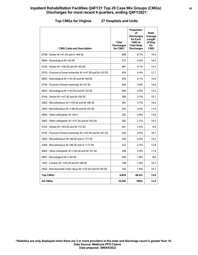# **Inpatient Rehabilitation Facilities Q4FY21 Top 20 Case Mix Groups (CMGs) <sup>43</sup> Discharges for most recent 4 quarters, ending Q4FY2021**

### **Top CMGs for Virginia 27 Hospitals and Units**

| <b>CMG Code and Description</b>                                | <b>Total</b><br><b>Discharges</b><br>for CMG* | Proportion<br>of<br><b>Discharges</b><br>for Each<br><b>CMG</b> to<br><b>Total State</b><br><b>Discharges</b> | <b>State</b><br>Average<br>Length<br>of Stay<br>for<br><b>CMG</b> |
|----------------------------------------------------------------|-----------------------------------------------|---------------------------------------------------------------------------------------------------------------|-------------------------------------------------------------------|
| 0106 : Stroke M <41.50 and A <84.50                            | 689                                           | 6.7%                                                                                                          | 19.5                                                              |
| 0604 : Neurological M <43.50                                   | 515                                           | 5.0%                                                                                                          | 14.5                                                              |
| 0103 : Stroke M $>=$ 50.50 and M $\leq$ 63.50                  | 481                                           | 4.7%                                                                                                          | 12.4                                                              |
| 0703 : Fracture of lower extremity M >=41.50 and M <52.50      | 454                                           | 4.4%                                                                                                          | 12.7                                                              |
| 0602 : Neurological M >=52.50 and M <64.50                     | 420                                           | 4.1%                                                                                                          | 10.8                                                              |
| 0704 : Fracture of lower extremity M <41.50                    | 404                                           | 3.9%                                                                                                          | 14.8                                                              |
| 0603 : Neurological M >=43.50 and M <52.50                     | 400                                           | 3.9%                                                                                                          | 12.5                                                              |
| 0104 : Stroke M >=41.50 and M <50.50                           | 384                                           | 3.7%                                                                                                          | 15.1                                                              |
| 2002 : Miscellaneous M >=55.50 and M <66.50                    | 381                                           | 3.7%                                                                                                          | 10.4                                                              |
| 2003 : Miscellaneous M >=46.50 and M <55.50                    | 352                                           | 3.4%                                                                                                          | 11.9                                                              |
| 0904 : Other orthopedic M <44.5                                | 292                                           | 2.8%                                                                                                          | 13.8                                                              |
| 0902 : Other orthopedic M >=51.50 and M <63.50                 | 282                                           | 2.7%                                                                                                          | 10.5                                                              |
| 0102 : Stroke M >=63.50 and M <72.50                           | 261                                           | 2.5%                                                                                                          | 9.9                                                               |
| 0702 : Fracture of lower extremity M $\ge$ =52.50 and M <61.50 | 254                                           | 2.5%                                                                                                          | 10.7                                                              |
| 2005: Miscellaneous M <46.50 and A <77.50                      | 243                                           | 2.4%                                                                                                          | 14.2                                                              |
| 2004 : Miscellaneous M <46.50 and A >=77.50                    | 222                                           | 2.2%                                                                                                          | 12.8                                                              |
| 0903 : Other orthopedic M >=44.50 and M <51.50                 | 208                                           | 2.0%                                                                                                          | 11.9                                                              |
| 0601 : Neurological M >=64.50                                  | 200                                           | 1.9%                                                                                                          | 8.6                                                               |
| 1402 : Cardiac M >=55.50 and M <68.50                          | 199                                           | 1.9%                                                                                                          | 10.3                                                              |
| 0302 : Non-traumatic brain injury M >=52.50 and M <65.50       | 193                                           | 1.9%                                                                                                          | 10.7                                                              |
| <b>Top CMGs</b>                                                | 6.834                                         | 66.4%                                                                                                         | 13.0                                                              |
| <b>All CMGs</b>                                                | 10,292                                        | 100%                                                                                                          | 12.9                                                              |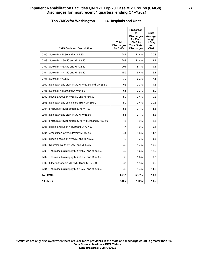# **Inpatient Rehabilitation Facilities Q4FY21 Top 20 Case Mix Groups (CMGs) <sup>44</sup> Discharges for most recent 4 quarters, ending Q4FY2021**

### **Top CMGs for Washington 14 Hospitals and Units**

| <b>CMG Code and Description</b>                            | Total<br><b>Discharges</b><br>for CMG* | Proportion<br>of<br><b>Discharges</b><br>for Each<br><b>CMG</b> to<br><b>Total State</b><br><b>Discharges</b> | <b>State</b><br>Average<br>Length<br>of Stay<br>for<br><b>CMG</b> |
|------------------------------------------------------------|----------------------------------------|---------------------------------------------------------------------------------------------------------------|-------------------------------------------------------------------|
| 0106 : Stroke M <41.50 and A <84.50                        | 284                                    | 11.4%                                                                                                         | 20.8                                                              |
| 0103 : Stroke M $>=$ 50.50 and M $\leq$ 63.50              | 283                                    | 11.4%                                                                                                         | 12.3                                                              |
| 0102 : Stroke M $> = 63.50$ and M $< 72.50$                | 201                                    | 8.1%                                                                                                          | 9.5                                                               |
| 0104 : Stroke M >=41.50 and M <50.50                       | 159                                    | 6.4%                                                                                                          | 16.3                                                              |
| 0101 : Stroke M >=72.50                                    | 79                                     | 3.2%                                                                                                          | 7.6                                                               |
| 0302 : Non-traumatic brain injury M >=52.50 and M <65.50   | 66                                     | 2.7%                                                                                                          | 11.5                                                              |
| 0105 : Stroke M <41.50 and A >=84.50                       | 66                                     | 2.7%                                                                                                          | 18.0                                                              |
| 2002 : Miscellaneous M >=55.50 and M <66.50                | 59                                     | 2.4%                                                                                                          | 10.2                                                              |
| 0505 : Non-traumatic spinal cord injury M <39.50           | 59                                     | 2.4%                                                                                                          | 20.5                                                              |
| 0704 : Fracture of lower extremity M <41.50                | 53                                     | 2.1%                                                                                                          | 14.3                                                              |
| 0301 : Non-traumatic brain injury M >=65.50                | 53                                     | 2.1%                                                                                                          | 8.5                                                               |
| 0703 : Fracture of lower extremity M >=41.50 and M <52.50  | 48                                     | 1.9%                                                                                                          | 12.8                                                              |
| 2005: Miscellaneous M <46.50 and A <77.50                  | 47                                     | 1.9%                                                                                                          | 15.4                                                              |
| 1004 : Amputation lower extremity M <47.50                 | 44                                     | 1.8%                                                                                                          | 14.7                                                              |
| 2003 : Miscellaneous M >=46.50 and M <55.50                | 42                                     | 1.7%                                                                                                          | 13.3                                                              |
| 0602 : Neurological M >=52.50 and M <64.50                 | 42                                     | 1.7%                                                                                                          | 10.9                                                              |
| 0203 : Traumatic brain injury M $\ge$ =49.50 and M <61.50  | 40                                     | 1.6%                                                                                                          | 12.5                                                              |
| 0202 : Traumatic brain injury M $\geq$ =61.50 and M <73.50 | 39                                     | 1.6%                                                                                                          | 9.7                                                               |
| 0902 : Other orthopedic M >=51.50 and M <63.50             | 37                                     | 1.5%                                                                                                          | 9.6                                                               |
| 0204 : Traumatic brain injury M >=35.50 and M <49.50       | 36                                     | 1.4%                                                                                                          | 14.8                                                              |
| <b>Top CMGs</b>                                            | 1,737                                  | 69.9%                                                                                                         | 13.9                                                              |
| <b>All CMGs</b>                                            | 2,485                                  | 100%                                                                                                          | 13.6                                                              |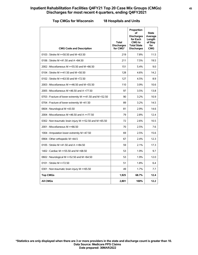# **Inpatient Rehabilitation Facilities Q4FY21 Top 20 Case Mix Groups (CMGs) <sup>45</sup> Discharges for most recent 4 quarters, ending Q4FY2021**

### **Top CMGs for Wisconsin 18 Hospitals and Units**

| <b>CMG Code and Description</b>                           | <b>Total</b><br><b>Discharges</b><br>for CMG* | Proportion<br>οf<br><b>Discharges</b><br>for Each<br>CMG to<br><b>Total State</b><br><b>Discharges</b> | <b>State</b><br>Average<br>Length<br>of Stay<br>for<br><b>CMG</b> |
|-----------------------------------------------------------|-----------------------------------------------|--------------------------------------------------------------------------------------------------------|-------------------------------------------------------------------|
| 0103 : Stroke M >=50.50 and M <63.50                      | 219                                           | 7.8%                                                                                                   | 11.5                                                              |
| 0106 : Stroke M <41.50 and A <84.50                       | 211                                           | 7.5%                                                                                                   | 19.5                                                              |
| 2002: Miscellaneous M >=55.50 and M <66.50                | 151                                           | 5.4%                                                                                                   | 9.0                                                               |
| 0104 : Stroke M >=41.50 and M <50.50                      | 128                                           | 4.6%                                                                                                   | 14.2                                                              |
| 0102 : Stroke M >=63.50 and M <72.50                      | 127                                           | 4.5%                                                                                                   | 8.9                                                               |
| 2003 : Miscellaneous M >=46.50 and M <55.50               | 110                                           | 3.9%                                                                                                   | 10.6                                                              |
| 2005: Miscellaneous M <46.50 and A <77.50                 | 97                                            | 3.5%                                                                                                   | 13.8                                                              |
| 0703 : Fracture of lower extremity M >=41.50 and M <52.50 | 90                                            | 3.2%                                                                                                   | 10.9                                                              |
| 0704 : Fracture of lower extremity M <41.50               | 89                                            | 3.2%                                                                                                   | 14.5                                                              |
| 0604 : Neurological M <43.50                              | 81                                            | 2.9%                                                                                                   | 14.6                                                              |
| 2004 : Miscellaneous M <46.50 and A >=77.50               | 79                                            | 2.8%                                                                                                   | 12.4                                                              |
| 0302 : Non-traumatic brain injury M >=52.50 and M <65.50  | 72                                            | 2.6%                                                                                                   | 10.5                                                              |
| 2001 : Miscellaneous M >=66.50                            | 70                                            | 2.5%                                                                                                   | 7.6                                                               |
| 1004 : Amputation lower extremity M <47.50                | 69                                            | 2.5%                                                                                                   | 15.6                                                              |
| 0904 : Other orthopedic M <44.5                           | 67                                            | 2.4%                                                                                                   | 12.3                                                              |
| 0105 : Stroke M <41.50 and A >=84.50                      | 59                                            | 2.1%                                                                                                   | 17.3                                                              |
| 1402 : Cardiac M >=55.50 and M <68.50                     | 53                                            | 1.9%                                                                                                   | 9.7                                                               |
| 0602 : Neurological M >=52.50 and M <64.50                | 53                                            | 1.9%                                                                                                   | 12.0                                                              |
| 0101 : Stroke M >=72.50                                   | 51                                            | 1.8%                                                                                                   | 6.4                                                               |
| 0301 : Non-traumatic brain injury M >=65.50               | 49                                            | 1.7%                                                                                                   | 7.7                                                               |
| <b>Top CMGs</b>                                           | 1,925                                         | 68.7%                                                                                                  | 12.4                                                              |
| <b>All CMGs</b>                                           | 2,801                                         | 100%                                                                                                   | 12.2                                                              |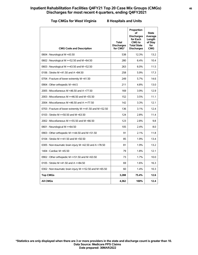# **Inpatient Rehabilitation Facilities Q4FY21 Top 20 Case Mix Groups (CMGs) <sup>46</sup> Discharges for most recent 4 quarters, ending Q4FY2021**

### **Top CMGs for West Virginia 8 Hospitals and Units**

| <b>CMG Code and Description</b>                           | <b>Total</b><br><b>Discharges</b><br>for CMG* | Proportion<br>Ωf<br><b>Discharges</b><br>for Each<br><b>CMG</b> to<br><b>Total State</b><br><b>Discharges</b> | <b>State</b><br>Average<br>Length<br>of Stay<br>for<br><b>CMG</b> |
|-----------------------------------------------------------|-----------------------------------------------|---------------------------------------------------------------------------------------------------------------|-------------------------------------------------------------------|
| 0604 : Neurological M <43.50                              | 538                                           | 12.3%                                                                                                         | 13.2                                                              |
| 0602 : Neurological M >=52.50 and M <64.50                | 280                                           | 6.4%                                                                                                          | 10.4                                                              |
| 0603 : Neurological M >=43.50 and M <52.50                | 263                                           | 6.0%                                                                                                          | 11.5                                                              |
| 0106 : Stroke M <41.50 and A <84.50                       | 258                                           | 5.9%                                                                                                          | 17.3                                                              |
| 0704 : Fracture of lower extremity M <41.50               | 249                                           | 5.7%                                                                                                          | 14.6                                                              |
| 0904 : Other orthopedic M <44.5                           | 211                                           | 4.8%                                                                                                          | 13.0                                                              |
| 2005 : Miscellaneous M <46.50 and A <77.50                | 169                                           | 3.9%                                                                                                          | 12.9                                                              |
| 2003 : Miscellaneous M >=46.50 and M <55.50               | 152                                           | 3.5%                                                                                                          | 11.1                                                              |
| 2004 : Miscellaneous M <46.50 and A >=77.50               | 142                                           | 3.3%                                                                                                          | 12.1                                                              |
| 0703 : Fracture of lower extremity M >=41.50 and M <52.50 | 136                                           | 3.1%                                                                                                          | 12.4                                                              |
| 0103 : Stroke M >=50.50 and M <63.50                      | 124                                           | 2.8%                                                                                                          | 11.4                                                              |
| 2002 : Miscellaneous M >=55.50 and M <66.50               | 123                                           | 2.8%                                                                                                          | 9.8                                                               |
| 0601 : Neurological M >=64.50                             | 105                                           | 2.4%                                                                                                          | 8.0                                                               |
| 0903 : Other orthopedic M >=44.50 and M <51.50            | 91                                            | 2.1%                                                                                                          | 11.8                                                              |
| 0104 : Stroke M $> = 41.50$ and M $< 50.50$               | 85                                            | 1.9%                                                                                                          | 13.4                                                              |
| 0305 : Non-traumatic brain injury M <42.50 and A <78.50   | 81                                            | 1.9%                                                                                                          | 13.2                                                              |
| 1404 : Cardiac M <45.50                                   | 79                                            | 1.8%                                                                                                          | 12.1                                                              |
| 0902 : Other orthopedic M >=51.50 and M <63.50            | 73                                            | 1.7%                                                                                                          | 10.0                                                              |
| 0105 : Stroke M <41.50 and A >=84.50                      | 69                                            | 1.6%                                                                                                          | 16.3                                                              |
| 0302 : Non-traumatic brain injury M >=52.50 and M <65.50  | 60                                            | 1.4%                                                                                                          | 10.3                                                              |
| <b>Top CMGs</b>                                           | 3.288                                         | 75.4%                                                                                                         | 12.6                                                              |
| <b>All CMGs</b>                                           | 4,362                                         | 100%                                                                                                          | 12.4                                                              |